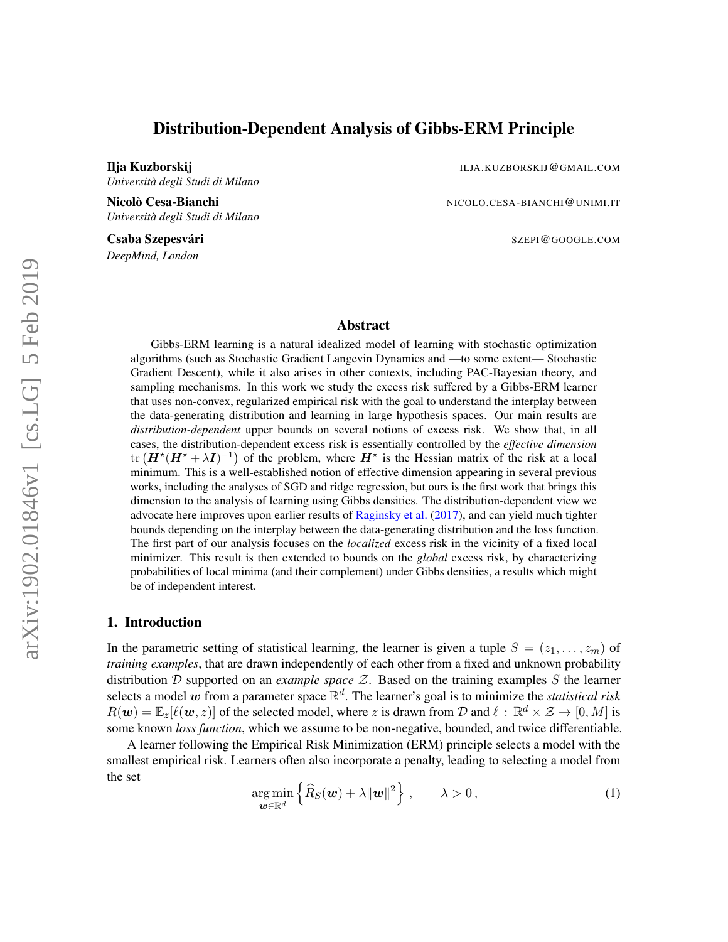# Distribution-Dependent Analysis of Gibbs-ERM Principle

Ilja Kuzborskij ILJA.KUZBORSKIJ@GMAIL.COM *Università degli Studi di Milano*

Nicolò Cesa-Bianchi Nicolo.cesa-Bianchi Nicolo.cesa-Bianchi Nicolo.cesa - Nicolo.cesa - Nicolo.cesa - Nicolo.cesa - Nicolo.cesa - Nicolo.cesa - Nicolo.cesa - Nicolo.cesa - Nicolo.cesa - Nicolo.cesa - Nicolo.cesa - Nicolo.c *Università degli Studi di Milano*

*DeepMind, London*

Csaba Szepesvári Szepesvári Szepesvári Szepesvári Szepesvári Szepesvári Szepesvári Szepesvári Szepesvári Szepesvár

# Abstract

Gibbs-ERM learning is a natural idealized model of learning with stochastic optimization algorithms (such as Stochastic Gradient Langevin Dynamics and —to some extent— Stochastic Gradient Descent), while it also arises in other contexts, including PAC-Bayesian theory, and sampling mechanisms. In this work we study the excess risk suffered by a Gibbs-ERM learner that uses non-convex, regularized empirical risk with the goal to understand the interplay between the data-generating distribution and learning in large hypothesis spaces. Our main results are *distribution-dependent* upper bounds on several notions of excess risk. We show that, in all cases, the distribution-dependent excess risk is essentially controlled by the *effective dimension* tr  $(H^*(H^* + \lambda I)^{-1})$  of the problem, where  $H^*$  is the Hessian matrix of the risk at a local minimum. This is a well-established notion of effective dimension appearing in several previous works, including the analyses of SGD and ridge regression, but ours is the first work that brings this dimension to the analysis of learning using Gibbs densities. The distribution-dependent view we advocate here improves upon earlier results of [Raginsky et al.](#page-25-0) [\(2017\)](#page-25-0), and can yield much tighter bounds depending on the interplay between the data-generating distribution and the loss function. The first part of our analysis focuses on the *localized* excess risk in the vicinity of a fixed local minimizer. This result is then extended to bounds on the *global* excess risk, by characterizing probabilities of local minima (and their complement) under Gibbs densities, a results which might be of independent interest.

# 1. Introduction

In the parametric setting of statistical learning, the learner is given a tuple  $S = (z_1, \ldots, z_m)$  of *training examples*, that are drawn independently of each other from a fixed and unknown probability distribution D supported on an *example space* Z. Based on the training examples S the learner selects a model  $\vec{w}$  from a parameter space  $\mathbb{R}^d$ . The learner's goal is to minimize the *statistical risk*  $R(\bm{w}) = \mathbb{E}_z[\ell(\bm{w}, z)]$  of the selected model, where z is drawn from D and  $\ell : \mathbb{R}^d \times \mathcal{Z} \to [0, M]$  is some known *loss function*, which we assume to be non-negative, bounded, and twice differentiable.

A learner following the Empirical Risk Minimization (ERM) principle selects a model with the smallest empirical risk. Learners often also incorporate a penalty, leading to selecting a model from the set

<span id="page-0-0"></span>
$$
\underset{\boldsymbol{w}\in\mathbb{R}^d}{\arg\min} \left\{\widehat{R}_S(\boldsymbol{w}) + \lambda \|\boldsymbol{w}\|^2\right\}, \qquad \lambda > 0, \tag{1}
$$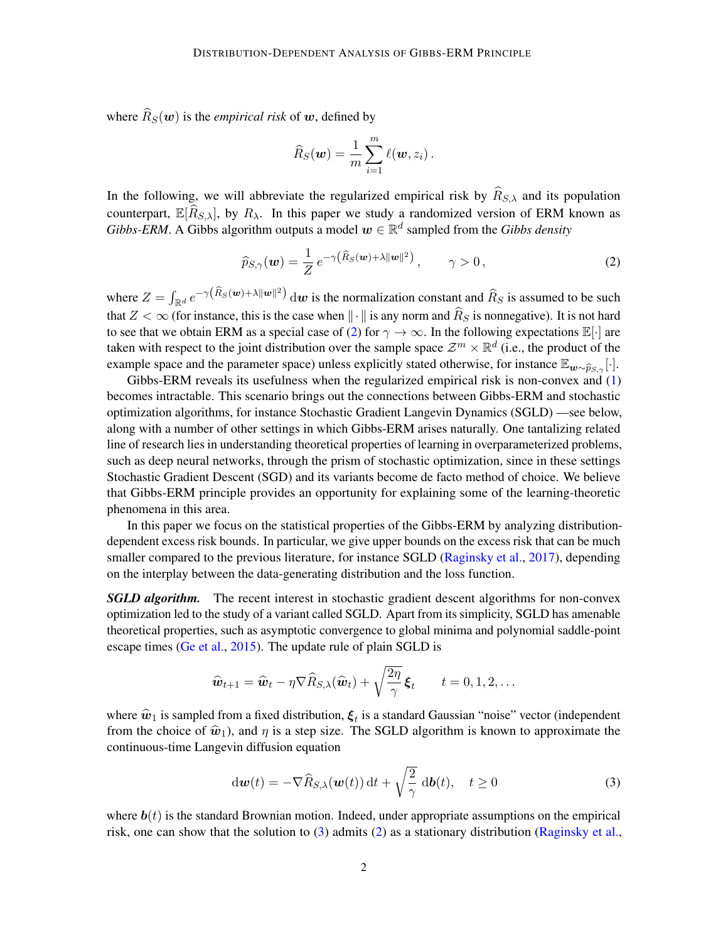where  $\widehat{R}_S(\boldsymbol{w})$  is the *empirical risk* of  $\boldsymbol{w}$ , defined by

$$
\widehat{R}_S(\boldsymbol{w}) = \frac{1}{m} \sum_{i=1}^m \ell(\boldsymbol{w}, z_i).
$$

In the following, we will abbreviate the regularized empirical risk by  $\widehat{R}_{S,\lambda}$  and its population counterpart,  $\mathbb{E}[\widehat{R}_{S,\lambda}]$ , by  $R_{\lambda}$ . In this paper we study a randomized version of ERM known as *Gibbs-ERM*. A Gibbs algorithm outputs a model  $w \in \mathbb{R}^d$  sampled from the *Gibbs density* 

<span id="page-1-0"></span>
$$
\widehat{p}_{S,\gamma}(\boldsymbol{w}) = \frac{1}{Z} e^{-\gamma \left(\widehat{R}_S(\boldsymbol{w}) + \lambda \|\boldsymbol{w}\|^2\right)}, \qquad \gamma > 0,
$$
\n(2)

where  $Z = \int_{\mathbb{R}^d} e^{-\gamma (\widehat{R}_S(w) + \lambda ||w||^2)} dw$  is the normalization constant and  $\widehat{R}_S$  is assumed to be such that  $Z < \infty$  (for instance, this is the case when  $\|\cdot\|$  is any norm and  $\widehat{R}_S$  is nonnegative). It is not hard to see that we obtain ERM as a special case of [\(2\)](#page-1-0) for  $\gamma \to \infty$ . In the following expectations  $\mathbb{E}[\cdot]$  are taken with respect to the joint distribution over the sample space  $\mathcal{Z}^m \times \mathbb{R}^d$  (i.e., the product of the example space and the parameter space) unless explicitly stated otherwise, for instance  $\mathbb{E}_{w\sim\widehat{p}_{S}}$  [·].

Gibbs-ERM reveals its usefulness when the regularized empirical risk is non-convex and [\(1\)](#page-0-0) becomes intractable. This scenario brings out the connections between Gibbs-ERM and stochastic optimization algorithms, for instance Stochastic Gradient Langevin Dynamics (SGLD) —see below, along with a number of other settings in which Gibbs-ERM arises naturally. One tantalizing related line of research lies in understanding theoretical properties of learning in overparameterized problems, such as deep neural networks, through the prism of stochastic optimization, since in these settings Stochastic Gradient Descent (SGD) and its variants become de facto method of choice. We believe that Gibbs-ERM principle provides an opportunity for explaining some of the learning-theoretic phenomena in this area.

In this paper we focus on the statistical properties of the Gibbs-ERM by analyzing distributiondependent excess risk bounds. In particular, we give upper bounds on the excess risk that can be much smaller compared to the previous literature, for instance SGLD [\(Raginsky et al.,](#page-25-0) [2017\)](#page-25-0), depending on the interplay between the data-generating distribution and the loss function.

**SGLD algorithm.** The recent interest in stochastic gradient descent algorithms for non-convex optimization led to the study of a variant called SGLD. Apart from its simplicity, SGLD has amenable theoretical properties, such as asymptotic convergence to global minima and polynomial saddle-point escape times [\(Ge et al.,](#page-24-0) [2015\)](#page-24-0). The update rule of plain SGLD is

$$
\widehat{\boldsymbol{w}}_{t+1} = \widehat{\boldsymbol{w}}_t - \eta \nabla \widehat{R}_{S,\lambda}(\widehat{\boldsymbol{w}}_t) + \sqrt{\frac{2\eta}{\gamma}} \boldsymbol{\xi}_t \qquad t = 0, 1, 2, \dots
$$

where  $\hat{w}_1$  is sampled from a fixed distribution,  $\xi_t$  is a standard Gaussian "noise" vector (independent<br>from the choice of  $\hat{w}_1$ ) and n is a stan size. The SGI D electrition is known to approximate the from the choice of  $\hat{w}_1$ ), and  $\eta$  is a step size. The SGLD algorithm is known to approximate the continuous-time Langevin diffusion equation

<span id="page-1-1"></span>
$$
\mathrm{d}\boldsymbol{w}(t) = -\nabla \widehat{R}_{S,\lambda}(\boldsymbol{w}(t))\,\mathrm{d}t + \sqrt{\frac{2}{\gamma}}\,\mathrm{d}\boldsymbol{b}(t), \quad t \ge 0 \tag{3}
$$

where  $\mathbf{b}(t)$  is the standard Brownian motion. Indeed, under appropriate assumptions on the empirical risk, one can show that the solution to [\(3\)](#page-1-1) admits [\(2\)](#page-1-0) as a stationary distribution [\(Raginsky et al.,](#page-25-0)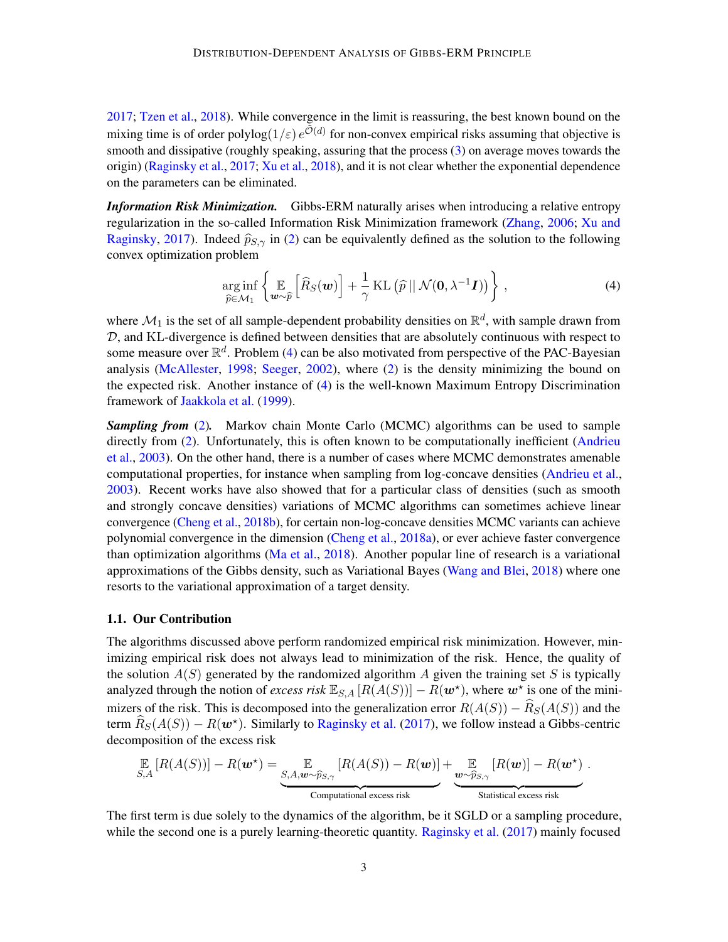[2017;](#page-25-0) [Tzen et al.,](#page-26-0) [2018\)](#page-26-0). While convergence in the limit is reassuring, the best known bound on the mixing time is of order polylog $(1/\varepsilon) e^{\tilde{\mathcal{O}}(d)}$  for non-convex empirical risks assuming that objective is smooth and dissipative (roughly speaking, assuring that the process [\(3\)](#page-1-1) on average moves towards the origin) [\(Raginsky et al.,](#page-25-0) [2017;](#page-25-0) [Xu et al.,](#page-26-1) [2018\)](#page-26-1), and it is not clear whether the exponential dependence on the parameters can be eliminated.

*Information Risk Minimization.* Gibbs-ERM naturally arises when introducing a relative entropy regularization in the so-called Information Risk Minimization framework [\(Zhang,](#page-26-2) [2006;](#page-26-2) [Xu and](#page-26-3) [Raginsky,](#page-26-3) [2017\)](#page-26-3). Indeed  $\hat{p}_{S,\gamma}$  in [\(2\)](#page-1-0) can be equivalently defined as the solution to the following convex optimization problem

<span id="page-2-0"></span>
$$
\underset{\widehat{p}\in\mathcal{M}_1}{\arg\inf} \left\{ \underset{\boldsymbol{w}\sim\widehat{p}}{\mathbb{E}} \left[ \widehat{R}_S(\boldsymbol{w}) \right] + \frac{1}{\gamma} \mathrm{KL} \left( \widehat{p} \, || \, \mathcal{N}(\mathbf{0}, \lambda^{-1} \boldsymbol{I}) \right) \right\},\tag{4}
$$

where  $\mathcal{M}_1$  is the set of all sample-dependent probability densities on  $\mathbb{R}^d$ , with sample drawn from D, and KL-divergence is defined between densities that are absolutely continuous with respect to some measure over  $\mathbb{R}^d$ . Problem [\(4\)](#page-2-0) can be also motivated from perspective of the PAC-Bayesian analysis [\(McAllester,](#page-25-1) [1998;](#page-25-1) [Seeger,](#page-25-2) [2002\)](#page-25-2), where [\(2\)](#page-1-0) is the density minimizing the bound on the expected risk. Another instance of [\(4\)](#page-2-0) is the well-known Maximum Entropy Discrimination framework of [Jaakkola et al.](#page-25-3) [\(1999\)](#page-25-3).

*Sampling from* [\(2\)](#page-1-0)*.* Markov chain Monte Carlo (MCMC) algorithms can be used to sample directly from [\(2\)](#page-1-0). Unfortunately, this is often known to be computationally inefficient [\(Andrieu](#page-24-1) [et al.,](#page-24-1) [2003\)](#page-24-1). On the other hand, there is a number of cases where MCMC demonstrates amenable computational properties, for instance when sampling from log-concave densities [\(Andrieu et al.,](#page-24-1) [2003\)](#page-24-1). Recent works have also showed that for a particular class of densities (such as smooth and strongly concave densities) variations of MCMC algorithms can sometimes achieve linear convergence [\(Cheng et al.,](#page-24-2) [2018b\)](#page-24-2), for certain non-log-concave densities MCMC variants can achieve polynomial convergence in the dimension [\(Cheng et al.,](#page-24-3) [2018a\)](#page-24-3), or ever achieve faster convergence than optimization algorithms [\(Ma et al.,](#page-25-4) [2018\)](#page-25-4). Another popular line of research is a variational approximations of the Gibbs density, such as Variational Bayes [\(Wang and Blei,](#page-26-4) [2018\)](#page-26-4) where one resorts to the variational approximation of a target density.

## 1.1. Our Contribution

The algorithms discussed above perform randomized empirical risk minimization. However, minimizing empirical risk does not always lead to minimization of the risk. Hence, the quality of the solution  $A(S)$  generated by the randomized algorithm A given the training set S is typically analyzed through the notion of *excess risk*  $\mathbb{E}_{S,A}[R(A(S))] - R(\mathbf{w}^*)$ , where  $\mathbf{w}^*$  is one of the minimizers of the risk. This is decomposed into the generalization error  $R(A(S)) - \widehat{R}_S(A(S))$  and the term  $\widehat{R}_S(A(S)) - R(\boldsymbol{w}^*)$ . Similarly to [Raginsky et al.](#page-25-0) [\(2017\)](#page-25-0), we follow instead a Gibbs-centric decomposition of the excess risk

$$
\mathop{\mathbb{E}}_{S,A}\left[R(A(S))\right]-R(\mathbf{w}^*)=\underbrace{\mathop{\mathbb{E}}_{S,A,\mathbf{w}\sim\widehat{p}_{S,\gamma}}\left[R(A(S))-R(\mathbf{w})\right]}_{\text{Computational excess risk}}+\underbrace{\mathop{\mathbb{E}}_{\mathbf{w}\sim\widehat{p}_{S,\gamma}}\left[R(\mathbf{w})\right]-R(\mathbf{w}^*)}_{\text{Statistical excess risk}}.
$$

The first term is due solely to the dynamics of the algorithm, be it SGLD or a sampling procedure, while the second one is a purely learning-theoretic quantity. [Raginsky et al.](#page-25-0) [\(2017\)](#page-25-0) mainly focused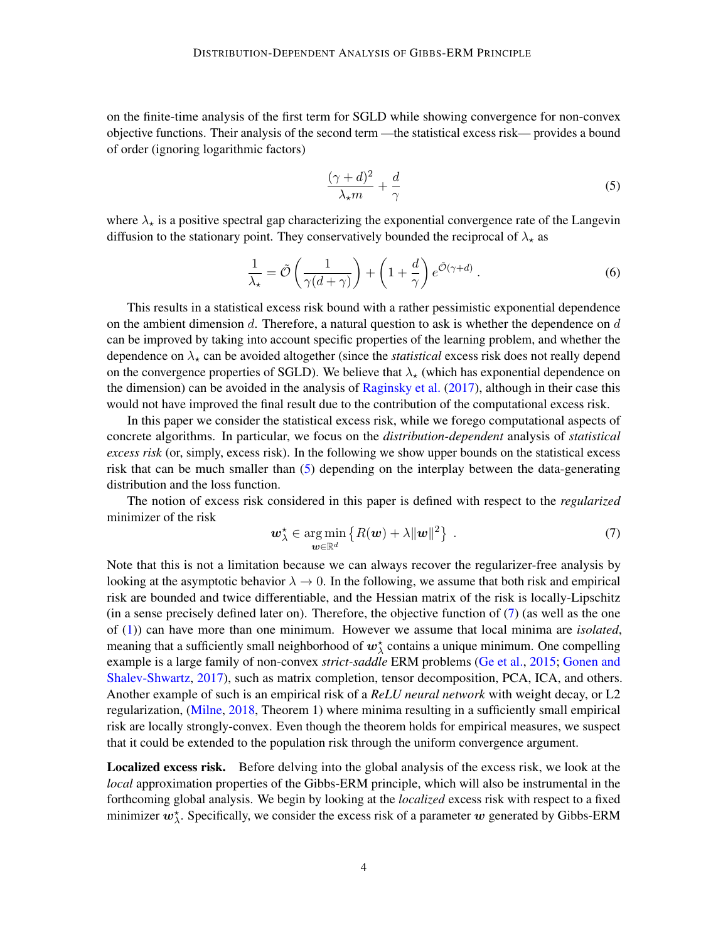on the finite-time analysis of the first term for SGLD while showing convergence for non-convex objective functions. Their analysis of the second term —the statistical excess risk— provides a bound of order (ignoring logarithmic factors)

<span id="page-3-0"></span>
$$
\frac{(\gamma + d)^2}{\lambda_{\star} m} + \frac{d}{\gamma} \tag{5}
$$

where  $\lambda_{\star}$  is a positive spectral gap characterizing the exponential convergence rate of the Langevin diffusion to the stationary point. They conservatively bounded the reciprocal of  $\lambda_{\star}$  as

$$
\frac{1}{\lambda_{\star}} = \tilde{\mathcal{O}}\left(\frac{1}{\gamma(d+\gamma)}\right) + \left(1 + \frac{d}{\gamma}\right)e^{\tilde{\mathcal{O}}(\gamma+d)}\,. \tag{6}
$$

This results in a statistical excess risk bound with a rather pessimistic exponential dependence on the ambient dimension  $d$ . Therefore, a natural question to ask is whether the dependence on  $d$ can be improved by taking into account specific properties of the learning problem, and whether the dependence on  $\lambda_{\star}$  can be avoided altogether (since the *statistical* excess risk does not really depend on the convergence properties of SGLD). We believe that  $\lambda_{\star}$  (which has exponential dependence on the dimension) can be avoided in the analysis of [Raginsky et al.](#page-25-0)  $(2017)$ , although in their case this would not have improved the final result due to the contribution of the computational excess risk.

In this paper we consider the statistical excess risk, while we forego computational aspects of concrete algorithms. In particular, we focus on the *distribution-dependent* analysis of *statistical excess risk* (or, simply, excess risk). In the following we show upper bounds on the statistical excess risk that can be much smaller than [\(5\)](#page-3-0) depending on the interplay between the data-generating distribution and the loss function.

The notion of excess risk considered in this paper is defined with respect to the *regularized* minimizer of the risk

<span id="page-3-1"></span>
$$
\boldsymbol{w}_{\lambda}^{\star} \in \underset{\boldsymbol{w} \in \mathbb{R}^d}{\arg \min} \left\{ R(\boldsymbol{w}) + \lambda \|\boldsymbol{w}\|^2 \right\} \ . \tag{7}
$$

Note that this is not a limitation because we can always recover the regularizer-free analysis by looking at the asymptotic behavior  $\lambda \to 0$ . In the following, we assume that both risk and empirical risk are bounded and twice differentiable, and the Hessian matrix of the risk is locally-Lipschitz (in a sense precisely defined later on). Therefore, the objective function of [\(7\)](#page-3-1) (as well as the one of [\(1\)](#page-0-0)) can have more than one minimum. However we assume that local minima are *isolated*, meaning that a sufficiently small neighborhood of  $w^{\star}_{\lambda}$  contains a unique minimum. One compelling example is a large family of non-convex *strict-saddle* ERM problems [\(Ge et al.,](#page-24-0) [2015;](#page-24-0) [Gonen and](#page-25-5) [Shalev-Shwartz,](#page-25-5) [2017\)](#page-25-5), such as matrix completion, tensor decomposition, PCA, ICA, and others. Another example of such is an empirical risk of a *ReLU neural network* with weight decay, or L2 regularization, [\(Milne,](#page-25-6) [2018,](#page-25-6) Theorem 1) where minima resulting in a sufficiently small empirical risk are locally strongly-convex. Even though the theorem holds for empirical measures, we suspect that it could be extended to the population risk through the uniform convergence argument.

Localized excess risk. Before delving into the global analysis of the excess risk, we look at the *local* approximation properties of the Gibbs-ERM principle, which will also be instrumental in the forthcoming global analysis. We begin by looking at the *localized* excess risk with respect to a fixed minimizer  $w_{\lambda}^*$ . Specifically, we consider the excess risk of a parameter w generated by Gibbs-ERM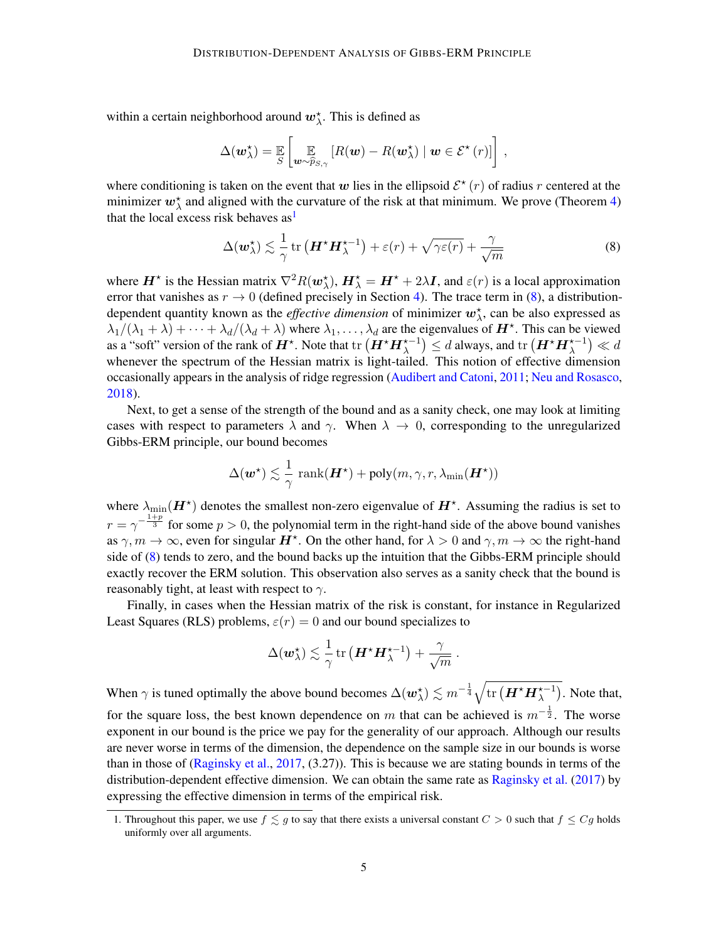within a certain neighborhood around  $w_{\lambda}^*$ . This is defined as

$$
\Delta(\boldsymbol{w}_{\lambda}^{\star}) = \mathop{\mathbb{E}}_{S} \left[ \mathop{\mathbb{E}}_{\boldsymbol{w} \sim \widehat{p}_{S, \gamma}} \left[ R(\boldsymbol{w}) - R(\boldsymbol{w}_{\lambda}^{\star}) \mid \boldsymbol{w} \in \mathcal{E}^{\star}(r) \right] \right],
$$

where conditioning is taken on the event that w lies in the ellipsoid  $\mathcal{E}^*(r)$  of radius r centered at the minimizer  $w_{\lambda}^*$  and aligned with the curvature of the risk at that minimum. We prove (Theorem [4\)](#page-10-0) that the local excess risk behaves  $as<sup>1</sup>$  $as<sup>1</sup>$  $as<sup>1</sup>$ 

<span id="page-4-1"></span>
$$
\Delta(\boldsymbol{w}_{\lambda}^{\star}) \lesssim \frac{1}{\gamma} \operatorname{tr} \left( \boldsymbol{H}^{\star} \boldsymbol{H}_{\lambda}^{\star-1} \right) + \varepsilon(r) + \sqrt{\gamma \varepsilon(r)} + \frac{\gamma}{\sqrt{m}} \tag{8}
$$

where  $H^*$  is the Hessian matrix  $\nabla^2 R(\omega_\lambda^*), H^*_{\lambda} = H^* + 2\lambda I$ , and  $\varepsilon(r)$  is a local approximation error that vanishes as  $r \to 0$  (defined precisely in Section [4\)](#page-9-0). The trace term in [\(8\)](#page-4-1), a distributiondependent quantity known as the *effective dimension* of minimizer  $w_{\lambda}^{*}$ , can be also expressed as  $\lambda_1/(\lambda_1+\lambda)+\cdots+\lambda_d/(\lambda_d+\lambda)$  where  $\lambda_1,\ldots,\lambda_d$  are the eigenvalues of  $H^*$ . This can be viewed as a "soft" version of the rank of  $H^\star$ . Note that  $\text{tr}\left(H^\star H^{\star-1}_\lambda\right)\leq d$  always, and  $\text{tr}\left(H^\star H^{\star-1}_\lambda\right)\ll d$ whenever the spectrum of the Hessian matrix is light-tailed. This notion of effective dimension occasionally appears in the analysis of ridge regression [\(Audibert and Catoni,](#page-24-4) [2011;](#page-24-4) [Neu and Rosasco,](#page-25-7) [2018\)](#page-25-7).

Next, to get a sense of the strength of the bound and as a sanity check, one may look at limiting cases with respect to parameters  $\lambda$  and  $\gamma$ . When  $\lambda \to 0$ , corresponding to the unregularized Gibbs-ERM principle, our bound becomes

$$
\Delta(\boldsymbol{w}^{\star}) \lesssim \frac{1}{\gamma} \; \mathrm{rank}(\boldsymbol{H}^{\star}) + \mathrm{poly}(m, \gamma, r, \lambda_{\min}(\boldsymbol{H}^{\star}))
$$

where  $\lambda_{\min}(\boldsymbol{H}^{\star})$  denotes the smallest non-zero eigenvalue of  $\boldsymbol{H}^{\star}$ . Assuming the radius is set to  $r = \gamma^{-\frac{1+p}{3}}$  for some  $p > 0$ , the polynomial term in the right-hand side of the above bound vanishes as  $\gamma, m \to \infty$ , even for singular  $H^*$ . On the other hand, for  $\lambda > 0$  and  $\gamma, m \to \infty$  the right-hand side of [\(8\)](#page-4-1) tends to zero, and the bound backs up the intuition that the Gibbs-ERM principle should exactly recover the ERM solution. This observation also serves as a sanity check that the bound is reasonably tight, at least with respect to  $\gamma$ .

Finally, in cases when the Hessian matrix of the risk is constant, for instance in Regularized Least Squares (RLS) problems,  $\varepsilon(r) = 0$  and our bound specializes to

$$
\Delta(\boldsymbol{w}_{\lambda}^{\star}) \lesssim \frac{1}{\gamma} \operatorname{tr}\left(\boldsymbol{H}^{\star}\boldsymbol{H}_{\lambda}^{\star-1}\right) + \frac{\gamma}{\sqrt{m}}~.
$$

When  $\gamma$  is tuned optimally the above bound becomes  $\Delta(\bm{w}_\lambda^\star) \lesssim m^{-\frac{1}{4}} \sqrt{\text{tr} \left( \bm{H}^\star \bm{H}_\lambda^{\star -1} \right)}$ . Note that, for the square loss, the best known dependence on m that can be achieved is  $m^{-\frac{1}{2}}$ . The worse exponent in our bound is the price we pay for the generality of our approach. Although our results are never worse in terms of the dimension, the dependence on the sample size in our bounds is worse than in those of [\(Raginsky et al.,](#page-25-0) [2017,](#page-25-0) (3.27)). This is because we are stating bounds in terms of the distribution-dependent effective dimension. We can obtain the same rate as [Raginsky et al.](#page-25-0) [\(2017\)](#page-25-0) by expressing the effective dimension in terms of the empirical risk.

<span id="page-4-0"></span><sup>1.</sup> Throughout this paper, we use  $f \lesssim g$  to say that there exists a universal constant  $C > 0$  such that  $f \leq Cg$  holds uniformly over all arguments.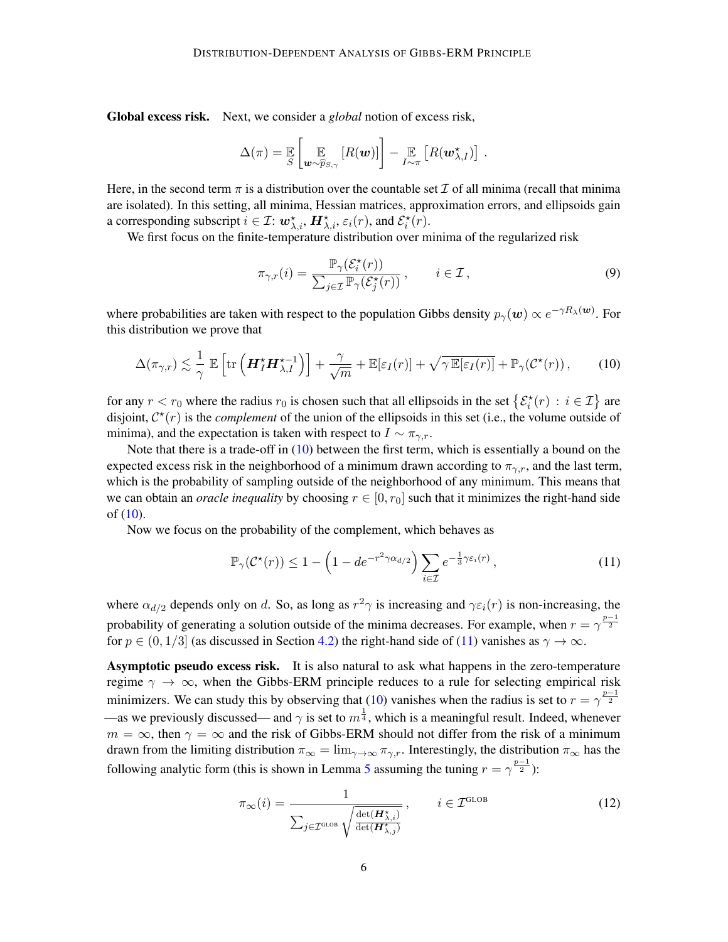Global excess risk. Next, we consider a *global* notion of excess risk,

$$
\Delta(\pi) = \mathbb{E}\left[\mathbb{E}_{\boldsymbol{w} \sim \widehat{p}_{S,\gamma}}\left[R(\boldsymbol{w})\right]\right] - \mathbb{E}_{I \sim \pi}\left[R(\boldsymbol{w}_{\lambda,I}^{\star})\right]
$$

Here, in the second term  $\pi$  is a distribution over the countable set  $\mathcal I$  of all minima (recall that minima are isolated). In this setting, all minima, Hessian matrices, approximation errors, and ellipsoids gain a corresponding subscript  $i \in \mathcal{I}: \mathbf{w}_{\lambda,i}^{\star}, \mathbf{H}_{\lambda,i}^{\star}, \varepsilon_i(r)$ , and  $\mathcal{E}_i^{\star}(r)$ .

We first focus on the finite-temperature distribution over minima of the regularized risk

$$
\pi_{\gamma,r}(i) = \frac{\mathbb{P}_{\gamma}(\mathcal{E}_i^*(r))}{\sum_{j \in \mathcal{I}} \mathbb{P}_{\gamma}(\mathcal{E}_j^*(r))}, \qquad i \in \mathcal{I},
$$
\n(9)

.

where probabilities are taken with respect to the population Gibbs density  $p_\gamma(\bm{w}) \propto e^{-\gamma R_\lambda(\bm{w})}$ . For this distribution we prove that

<span id="page-5-0"></span>
$$
\Delta(\pi_{\gamma,r}) \lesssim \frac{1}{\gamma} \mathbb{E}\left[\text{tr}\left(\boldsymbol{H}_{I}^{*}\boldsymbol{H}_{\lambda,I}^{*-1}\right)\right] + \frac{\gamma}{\sqrt{m}} + \mathbb{E}[\varepsilon_{I}(r)] + \sqrt{\gamma \mathbb{E}[\varepsilon_{I}(r)]} + \mathbb{P}_{\gamma}(\mathcal{C}^{*}(r)),\tag{10}
$$

for any  $r < r_0$  where the radius  $r_0$  is chosen such that all ellipsoids in the set  $\{\mathcal{E}_i^*(r) : i \in \mathcal{I}\}\)$  are disjoint,  $C^*(r)$  is the *complement* of the union of the ellipsoids in this set (i.e., the volume outside of minima), and the expectation is taken with respect to  $I \sim \pi_{\gamma,r}$ .

Note that there is a trade-off in [\(10\)](#page-5-0) between the first term, which is essentially a bound on the expected excess risk in the neighborhood of a minimum drawn according to  $\pi_{\gamma,r}$ , and the last term, which is the probability of sampling outside of the neighborhood of any minimum. This means that we can obtain an *oracle inequality* by choosing  $r \in [0, r_0]$  such that it minimizes the right-hand side of  $(10)$ .

Now we focus on the probability of the complement, which behaves as

<span id="page-5-1"></span>
$$
\mathbb{P}_{\gamma}(\mathcal{C}^{\star}(r)) \le 1 - \left(1 - de^{-r^2 \gamma \alpha_{d/2}}\right) \sum_{i \in \mathcal{I}} e^{-\frac{1}{3} \gamma \varepsilon_i(r)},\tag{11}
$$

where  $\alpha_{d/2}$  depends only on d. So, as long as  $r^2\gamma$  is increasing and  $\gamma \varepsilon_i(r)$  is non-increasing, the probability of generating a solution outside of the minima decreases. For example, when  $r = \gamma^{\frac{p-1}{2}}$ for  $p \in (0, 1/3]$  (as discussed in Section [4.2\)](#page-10-1) the right-hand side of [\(11\)](#page-5-1) vanishes as  $\gamma \to \infty$ .

Asymptotic pseudo excess risk. It is also natural to ask what happens in the zero-temperature regime  $\gamma \to \infty$ , when the Gibbs-ERM principle reduces to a rule for selecting empirical risk minimizers. We can study this by observing that [\(10\)](#page-5-0) vanishes when the radius is set to  $r = \gamma^{\frac{p-1}{2}}$ —as we previously discussed— and  $\gamma$  is set to  $m^{\frac{1}{4}}$ , which is a meaningful result. Indeed, whenever  $m = \infty$ , then  $\gamma = \infty$  and the risk of Gibbs-ERM should not differ from the risk of a minimum drawn from the limiting distribution  $\pi_{\infty} = \lim_{\gamma \to \infty} \pi_{\gamma,r}$ . Interestingly, the distribution  $\pi_{\infty}$  has the following analytic form (this is shown in Lemma [5](#page-10-2) assuming the tuning  $r = \gamma^{\frac{p-1}{2}}$ ):

<span id="page-5-2"></span>
$$
\pi_{\infty}(i) = \frac{1}{\sum_{j \in \mathcal{I}^{\text{GLOB}}} \sqrt{\frac{\det(\mathbf{H}_{\lambda,j}^{\star})}{\det(\mathbf{H}_{\lambda,j}^{\star})}}}, \qquad i \in \mathcal{I}^{\text{GLOB}} \tag{12}
$$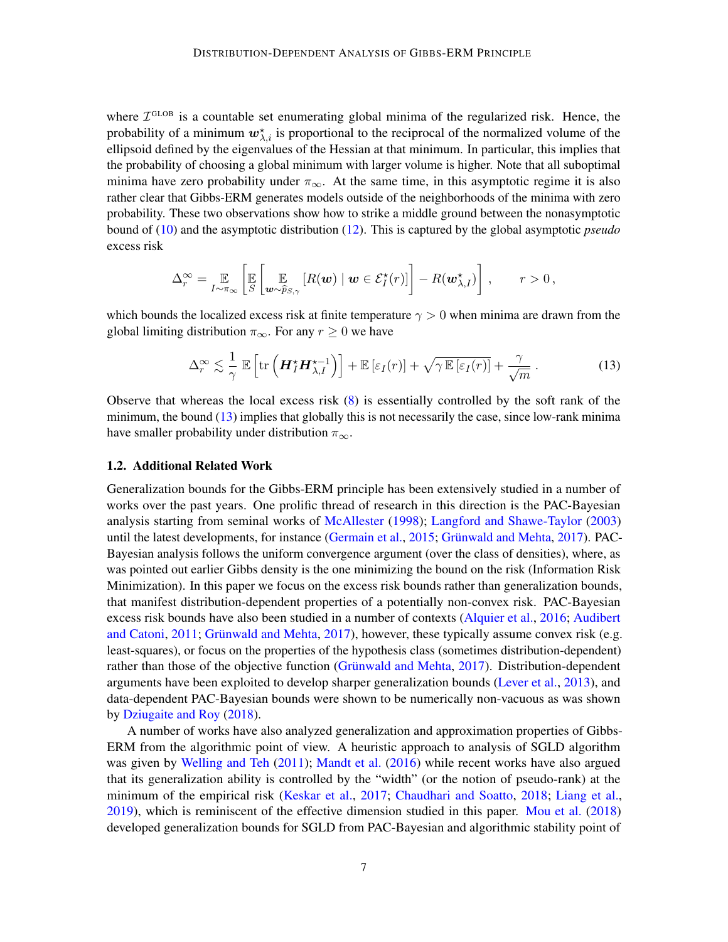where  $\mathcal{I}^{\text{GLOB}}$  is a countable set enumerating global minima of the regularized risk. Hence, the probability of a minimum  $w^{\star}_{\lambda,i}$  is proportional to the reciprocal of the normalized volume of the ellipsoid defined by the eigenvalues of the Hessian at that minimum. In particular, this implies that the probability of choosing a global minimum with larger volume is higher. Note that all suboptimal minima have zero probability under  $\pi_{\infty}$ . At the same time, in this asymptotic regime it is also rather clear that Gibbs-ERM generates models outside of the neighborhoods of the minima with zero probability. These two observations show how to strike a middle ground between the nonasymptotic bound of [\(10\)](#page-5-0) and the asymptotic distribution [\(12\)](#page-5-2). This is captured by the global asymptotic *pseudo* excess risk

$$
\Delta_r^{\infty} = \mathop{\mathbb{E}}_{I \sim \pi_{\infty}} \left[ \mathop{\mathbb{E}}_{S} \left[ \mathop{\mathbb{E}}_{\boldsymbol{w} \sim \widehat{p}_{S,\gamma}} \left[ R(\boldsymbol{w}) \mid \boldsymbol{w} \in \mathcal{E}_I^{\star}(r) \right] \right] - R(\boldsymbol{w}_{\lambda,I}^{\star}) \right], \qquad r > 0,
$$

which bounds the localized excess risk at finite temperature  $\gamma > 0$  when minima are drawn from the global limiting distribution  $\pi_{\infty}$ . For any  $r \geq 0$  we have

<span id="page-6-0"></span>
$$
\Delta_r^{\infty} \lesssim \frac{1}{\gamma} \mathbb{E} \left[ \text{tr} \left( \boldsymbol{H}_I^{\star} \boldsymbol{H}_{\lambda, I}^{\star - 1} \right) \right] + \mathbb{E} \left[ \varepsilon_I(r) \right] + \sqrt{\gamma \mathbb{E} \left[ \varepsilon_I(r) \right]} + \frac{\gamma}{\sqrt{m}} \,. \tag{13}
$$

Observe that whereas the local excess risk [\(8\)](#page-4-1) is essentially controlled by the soft rank of the minimum, the bound [\(13\)](#page-6-0) implies that globally this is not necessarily the case, since low-rank minima have smaller probability under distribution  $\pi_{\infty}$ .

### 1.2. Additional Related Work

Generalization bounds for the Gibbs-ERM principle has been extensively studied in a number of works over the past years. One prolific thread of research in this direction is the PAC-Bayesian analysis starting from seminal works of [McAllester](#page-25-1) [\(1998\)](#page-25-1); [Langford and Shawe-Taylor](#page-25-8) [\(2003\)](#page-25-8) until the latest developments, for instance [\(Germain et al.,](#page-24-5) [2015;](#page-24-5) [Grünwald and Mehta,](#page-25-9) [2017\)](#page-25-9). PAC-Bayesian analysis follows the uniform convergence argument (over the class of densities), where, as was pointed out earlier Gibbs density is the one minimizing the bound on the risk (Information Risk Minimization). In this paper we focus on the excess risk bounds rather than generalization bounds, that manifest distribution-dependent properties of a potentially non-convex risk. PAC-Bayesian excess risk bounds have also been studied in a number of contexts [\(Alquier et al.,](#page-24-6) [2016;](#page-24-6) [Audibert](#page-24-4) [and Catoni,](#page-24-4) [2011;](#page-24-4) [Grünwald and Mehta,](#page-25-9) [2017\)](#page-25-9), however, these typically assume convex risk (e.g. least-squares), or focus on the properties of the hypothesis class (sometimes distribution-dependent) rather than those of the objective function [\(Grünwald and Mehta,](#page-25-9) [2017\)](#page-25-9). Distribution-dependent arguments have been exploited to develop sharper generalization bounds [\(Lever et al.,](#page-25-10) [2013\)](#page-25-10), and data-dependent PAC-Bayesian bounds were shown to be numerically non-vacuous as was shown by [Dziugaite and Roy](#page-24-7) [\(2018\)](#page-24-7).

A number of works have also analyzed generalization and approximation properties of Gibbs-ERM from the algorithmic point of view. A heuristic approach to analysis of SGLD algorithm was given by [Welling and Teh](#page-26-5) [\(2011\)](#page-26-5); [Mandt et al.](#page-25-11) [\(2016\)](#page-25-11) while recent works have also argued that its generalization ability is controlled by the "width" (or the notion of pseudo-rank) at the minimum of the empirical risk [\(Keskar et al.,](#page-25-12) [2017;](#page-25-12) [Chaudhari and Soatto,](#page-24-8) [2018;](#page-24-8) [Liang et al.,](#page-25-13) [2019\)](#page-25-13), which is reminiscent of the effective dimension studied in this paper. [Mou et al.](#page-25-14) [\(2018\)](#page-25-14) developed generalization bounds for SGLD from PAC-Bayesian and algorithmic stability point of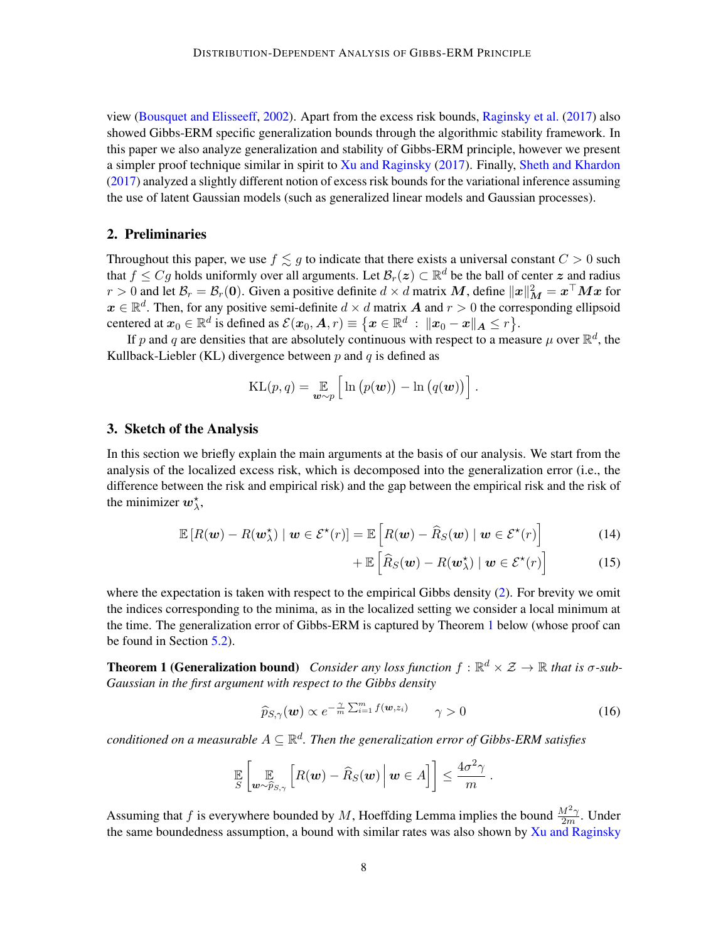view [\(Bousquet and Elisseeff,](#page-24-9) [2002\)](#page-24-9). Apart from the excess risk bounds, [Raginsky et al.](#page-25-0) [\(2017\)](#page-25-0) also showed Gibbs-ERM specific generalization bounds through the algorithmic stability framework. In this paper we also analyze generalization and stability of Gibbs-ERM principle, however we present a simpler proof technique similar in spirit to [Xu and Raginsky](#page-26-3) [\(2017\)](#page-26-3). Finally, [Sheth and Khardon](#page-26-6) [\(2017\)](#page-26-6) analyzed a slightly different notion of excess risk bounds for the variational inference assuming the use of latent Gaussian models (such as generalized linear models and Gaussian processes).

# 2. Preliminaries

Throughout this paper, we use  $f \lesssim g$  to indicate that there exists a universal constant  $C > 0$  such that  $f \leq Cg$  holds uniformly over all arguments. Let  $\mathcal{B}_r(z) \subset \mathbb{R}^d$  be the ball of center  $z$  and radius  $r>0$  and let  $\mathcal{B}_r=\mathcal{B}_r(\mathbf{0}).$  Given a positive definite  $d\times d$  matrix  $\bm{M}$ , define  $\|\bm{x}\|_{\bm{M}}^2=\bm{x}^\top\bm{M}\bm{x}$  for  $x \in \mathbb{R}^d$ . Then, for any positive semi-definite  $d \times d$  matrix A and  $r > 0$  the corresponding ellipsoid centered at  $\mathbf{x}_0 \in \mathbb{R}^d$  is defined as  $\mathcal{E}(\mathbf{x}_0, \bm{A}, r) \equiv \big\{ \bm{x} \in \mathbb{R}^d \, : \, \|\mathbf{x}_0 - \bm{x}\|_{\bm{A}} \leq r \big\}.$ 

If p and q are densities that are absolutely continuous with respect to a measure  $\mu$  over  $\mathbb{R}^d$ , the Kullback-Liebler (KL) divergence between  $p$  and  $q$  is defined as

$$
KL(p, q) = \mathop{\mathbb{E}}_{\boldsymbol{w} \sim p} \left[ ln (p(\boldsymbol{w})) - ln (q(\boldsymbol{w})) \right].
$$

### <span id="page-7-3"></span>3. Sketch of the Analysis

In this section we briefly explain the main arguments at the basis of our analysis. We start from the analysis of the localized excess risk, which is decomposed into the generalization error (i.e., the difference between the risk and empirical risk) and the gap between the empirical risk and the risk of the minimizer  $w_{\lambda}^*$ ,

$$
\mathbb{E}\left[R(\boldsymbol{w}) - R(\boldsymbol{w}_{\lambda}^{*}) \mid \boldsymbol{w} \in \mathcal{E}^{\star}(r)\right] = \mathbb{E}\left[R(\boldsymbol{w}) - \widehat{R}_{S}(\boldsymbol{w}) \mid \boldsymbol{w} \in \mathcal{E}^{\star}(r)\right]
$$
(14)

<span id="page-7-2"></span><span id="page-7-1"></span>
$$
+ \mathbb{E}\left[\widehat{R}_{S}(\boldsymbol{w}) - R(\boldsymbol{w}_{\lambda}^{\star}) \mid \boldsymbol{w} \in \mathcal{E}^{\star}(r)\right]
$$
 (15)

.

where the expectation is taken with respect to the empirical Gibbs density [\(2\)](#page-1-0). For brevity we omit the indices corresponding to the minima, as in the localized setting we consider a local minimum at the time. The generalization error of Gibbs-ERM is captured by Theorem [1](#page-7-0) below (whose proof can be found in Section [5.2\)](#page-13-0).

**Theorem 1 (Generalization bound)** Consider any loss function  $f : \mathbb{R}^d \times \mathcal{Z} \to \mathbb{R}$  that is  $\sigma$ -sub-*Gaussian in the first argument with respect to the Gibbs density*

<span id="page-7-0"></span>
$$
\widehat{p}_{S,\gamma}(\boldsymbol{w}) \propto e^{-\frac{\gamma}{m} \sum_{i=1}^{m} f(\boldsymbol{w}, z_i)} \qquad \gamma > 0 \qquad (16)
$$

 $\emph{conditioned on a measurable } A \subseteq \mathbb{R}^d.$  Then the generalization error of Gibbs-ERM satisfies

$$
\mathbb{E}\left[\mathbb{E}_{\boldsymbol{w}\sim\widehat{p}_{S,\gamma}}\left[R(\boldsymbol{w})-\widehat{R}_{S}(\boldsymbol{w})\,\big|\,\boldsymbol{w}\in A\right]\right]\leq\frac{4\sigma^2\gamma}{m}
$$

Assuming that f is everywhere bounded by M, Hoeffding Lemma implies the bound  $\frac{M^2\gamma}{2m}$ . Under the same boundedness assumption, a bound with similar rates was also shown by [Xu and Raginsky](#page-26-3)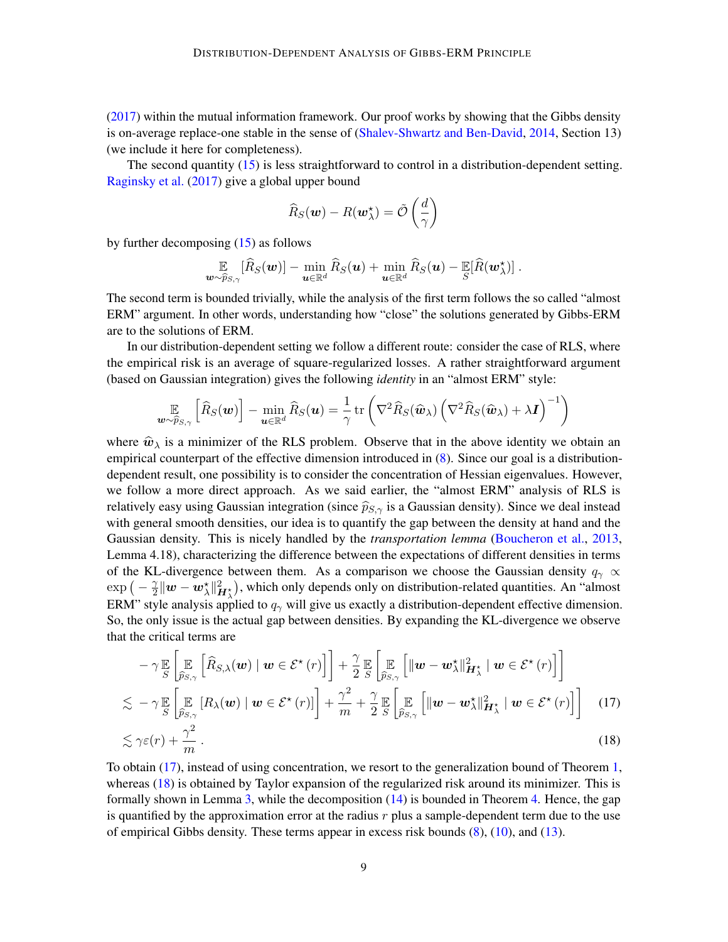[\(2017\)](#page-26-3) within the mutual information framework. Our proof works by showing that the Gibbs density is on-average replace-one stable in the sense of [\(Shalev-Shwartz and Ben-David,](#page-26-7) [2014,](#page-26-7) Section 13) (we include it here for completeness).

The second quantity [\(15\)](#page-7-1) is less straightforward to control in a distribution-dependent setting. [Raginsky et al.](#page-25-0) [\(2017\)](#page-25-0) give a global upper bound

$$
\widehat{R}_S(\boldsymbol{w}) - R(\boldsymbol{w}_\lambda^\star) = \tilde{\mathcal{O}}\left(\frac{d}{\gamma}\right)
$$

by further decomposing  $(15)$  as follows

$$
\mathop{\mathbb{E}}\limits_{\bm{w}\sim\widehat{p}_{S,\gamma}}[\widehat{R}_S(\bm{w})]-\min_{\bm{u}\in\mathbb{R}^d}\widehat{R}_S(\bm{u})+\min_{\bm{u}\in\mathbb{R}^d}\widehat{R}_S(\bm{u})-\mathop{\mathbb{E}}\limits_{S}[\widehat{R}(\bm{w}_\lambda^{\star})]\ .
$$

The second term is bounded trivially, while the analysis of the first term follows the so called "almost ERM" argument. In other words, understanding how "close" the solutions generated by Gibbs-ERM are to the solutions of ERM.

In our distribution-dependent setting we follow a different route: consider the case of RLS, where the empirical risk is an average of square-regularized losses. A rather straightforward argument (based on Gaussian integration) gives the following *identity* in an "almost ERM" style:

$$
\mathop{\mathbb{E}}_{\boldsymbol{w}\sim \widehat{p}_{S,\gamma}}\left[\widehat{R}_S(\boldsymbol{w})\right]-\min_{\boldsymbol{u}\in\mathbb{R}^d}\widehat{R}_S(\boldsymbol{u})=\frac{1}{\gamma}\operatorname{tr}\left(\nabla^2\widehat{R}_S(\widehat{\boldsymbol{w}}_{\lambda})\left(\nabla^2\widehat{R}_S(\widehat{\boldsymbol{w}}_{\lambda})+\lambda\boldsymbol{I}\right)^{-1}\right)
$$

where  $\hat{w}_{\lambda}$  is a minimizer of the RLS problem. Observe that in the above identity we obtain an empirical counterpart of the effective dimension introduced in [\(8\)](#page-4-1). Since our goal is a distributiondependent result, one possibility is to consider the concentration of Hessian eigenvalues. However, we follow a more direct approach. As we said earlier, the "almost ERM" analysis of RLS is relatively easy using Gaussian integration (since  $\widehat{p}_{S,\gamma}$  is a Gaussian density). Since we deal instead with general smooth densities, our idea is to quantify the gap between the density at hand and the Gaussian density. This is nicely handled by the *transportation lemma* [\(Boucheron et al.,](#page-24-10) [2013,](#page-24-10) Lemma 4.18), characterizing the difference between the expectations of different densities in terms of the KL-divergence between them. As a comparison we choose the Gaussian density  $q_{\gamma} \propto$  $\exp\left(-\frac{\gamma}{2}\right)$  $\frac{\gamma}{2} \|w-w_\lambda^{\star}\|_{H_\lambda^{\star}}^2$ ), which only depends only on distribution-related quantities. An "almost ERM" style analysis applied to  $q_{\gamma}$  will give us exactly a distribution-dependent effective dimension. So, the only issue is the actual gap between densities. By expanding the KL-divergence we observe that the critical terms are

<span id="page-8-1"></span><span id="page-8-0"></span>
$$
- \gamma \mathbb{E}\left[\mathbb{E}\left[\widehat{R}_{S,\lambda}(\boldsymbol{w}) \mid \boldsymbol{w} \in \mathcal{E}^{\star}(r)\right]\right] + \frac{\gamma}{2} \mathbb{E}\left[\mathbb{E}\left[\|\boldsymbol{w} - \boldsymbol{w}_{\lambda}^{\star}\|_{\boldsymbol{H}_{\lambda}^{\star}}^{2} \mid \boldsymbol{w} \in \mathcal{E}^{\star}(r)\right]\right] \n\lesssim - \gamma \mathbb{E}\left[\mathbb{E}\left[R_{\lambda}(\boldsymbol{w}) \mid \boldsymbol{w} \in \mathcal{E}^{\star}(r)\right]\right] + \frac{\gamma^{2}}{m} + \frac{\gamma}{2} \mathbb{E}\left[\mathbb{E}\left[\|\boldsymbol{w} - \boldsymbol{w}_{\lambda}^{\star}\|_{\boldsymbol{H}_{\lambda}^{\star}}^{2} \mid \boldsymbol{w} \in \mathcal{E}^{\star}(r)\right]\right] \quad (17) \n\lesssim \gamma \varepsilon(r) + \frac{\gamma^{2}}{m}.
$$
\n(18)

To obtain [\(17\)](#page-8-0), instead of using concentration, we resort to the generalization bound of Theorem [1,](#page-7-0) whereas [\(18\)](#page-8-1) is obtained by Taylor expansion of the regularized risk around its minimizer. This is formally shown in Lemma [3,](#page-9-1) while the decomposition [\(14\)](#page-7-2) is bounded in Theorem [4.](#page-10-0) Hence, the gap is quantified by the approximation error at the radius  $r$  plus a sample-dependent term due to the use of empirical Gibbs density. These terms appear in excess risk bounds [\(8\)](#page-4-1), [\(10\)](#page-5-0), and [\(13\)](#page-6-0).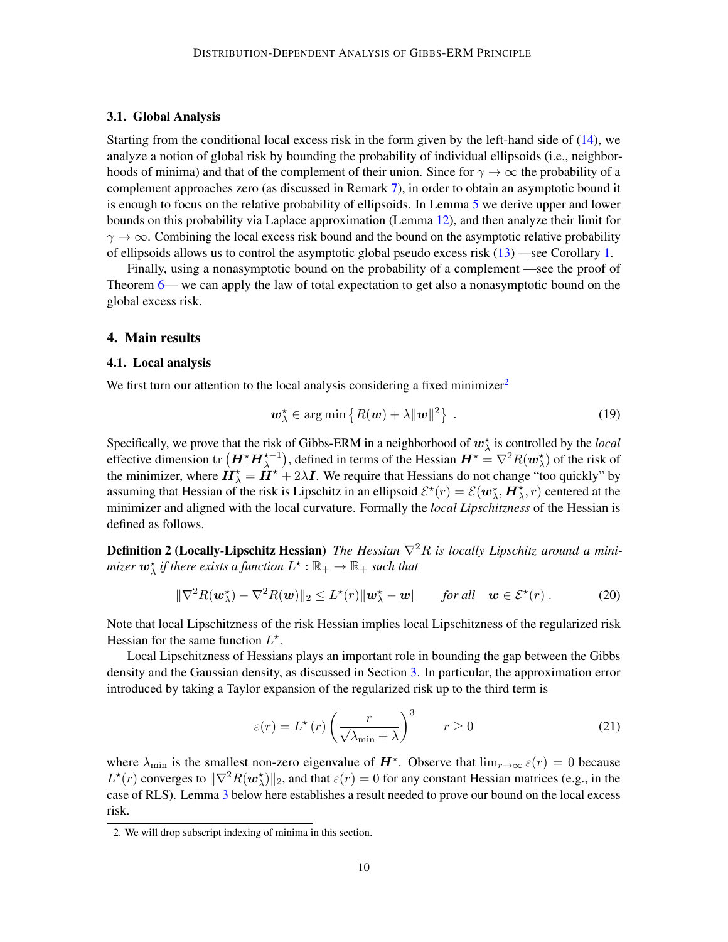### 3.1. Global Analysis

Starting from the conditional local excess risk in the form given by the left-hand side of [\(14\)](#page-7-2), we analyze a notion of global risk by bounding the probability of individual ellipsoids (i.e., neighborhoods of minima) and that of the complement of their union. Since for  $\gamma \to \infty$  the probability of a complement approaches zero (as discussed in Remark [7\)](#page-11-0), in order to obtain an asymptotic bound it is enough to focus on the relative probability of ellipsoids. In Lemma [5](#page-10-2) we derive upper and lower bounds on this probability via Laplace approximation (Lemma [12\)](#page-19-0), and then analyze their limit for  $\gamma \rightarrow \infty$ . Combining the local excess risk bound and the bound on the asymptotic relative probability of ellipsoids allows us to control the asymptotic global pseudo excess risk [\(13\)](#page-6-0) —see Corollary [1.](#page-11-1)

Finally, using a nonasymptotic bound on the probability of a complement —see the proof of Theorem [6—](#page-11-2) we can apply the law of total expectation to get also a nonasymptotic bound on the global excess risk.

### <span id="page-9-0"></span>4. Main results

### 4.1. Local analysis

We first turn our attention to the local analysis considering a fixed minimizer<sup>[2](#page-9-2)</sup>

$$
\boldsymbol{w}_{\lambda}^{\star} \in \arg \min \left\{ R(\boldsymbol{w}) + \lambda ||\boldsymbol{w}||^2 \right\} \ . \tag{19}
$$

Specifically, we prove that the risk of Gibbs-ERM in a neighborhood of  $w^*_{\lambda}$  is controlled by the *local* effective dimension  $\text{tr}\left(\bm{H}^{\star}\bm{H}_{\lambda}^{\star-1}\right)$ , defined in terms of the Hessian  $\bm{H}^{\star} = \nabla^2 R(\bm{w}_{\lambda}^{\star})$  of the risk of the minimizer, where  $\dot{H}^{\star}_{\lambda} = \dot{H}^{\star} + 2\lambda I$ . We require that Hessians do not change "too quickly" by assuming that Hessian of the risk is Lipschitz in an ellipsoid  $\mathcal{E}^\star(r) = \mathcal{E}(\omega_\lambda^\star, H_\lambda^\star, r)$  centered at the minimizer and aligned with the local curvature. Formally the *local Lipschitzness* of the Hessian is defined as follows.

**Definition 2 (Locally-Lipschitz Hessian)** *The Hessian*  $\nabla^2 R$  *is locally Lipschitz around a mini*mizer  $\bm{w}^{\star}_{\lambda}$  if there exists a function  $L^{\star}:\mathbb{R}_+\rightarrow\mathbb{R}_+$  such that

$$
\|\nabla^2 R(\boldsymbol{w}_{\lambda}^{\star}) - \nabla^2 R(\boldsymbol{w})\|_2 \le L^{\star}(r) \|\boldsymbol{w}_{\lambda}^{\star} - \boldsymbol{w}\| \quad \text{for all} \quad \boldsymbol{w} \in \mathcal{E}^{\star}(r).
$$
 (20)

Note that local Lipschitzness of the risk Hessian implies local Lipschitzness of the regularized risk Hessian for the same function  $L^*$ .

Local Lipschitzness of Hessians plays an important role in bounding the gap between the Gibbs density and the Gaussian density, as discussed in Section [3.](#page-7-3) In particular, the approximation error introduced by taking a Taylor expansion of the regularized risk up to the third term is

<span id="page-9-3"></span>
$$
\varepsilon(r) = L^{\star}(r) \left(\frac{r}{\sqrt{\lambda_{\min} + \lambda}}\right)^3 \qquad r \ge 0 \tag{21}
$$

where  $\lambda_{\min}$  is the smallest non-zero eigenvalue of  $H^*$ . Observe that  $\lim_{r\to\infty} \varepsilon(r) = 0$  because  $L^*(r)$  converges to  $\|\nabla^2 R(w_\lambda^*)\|_2$ , and that  $\varepsilon(r) = 0$  for any constant Hessian matrices (e.g., in the case of RLS). Lemma [3](#page-9-1) below here establishes a result needed to prove our bound on the local excess risk.

<span id="page-9-2"></span><span id="page-9-1"></span><sup>2.</sup> We will drop subscript indexing of minima in this section.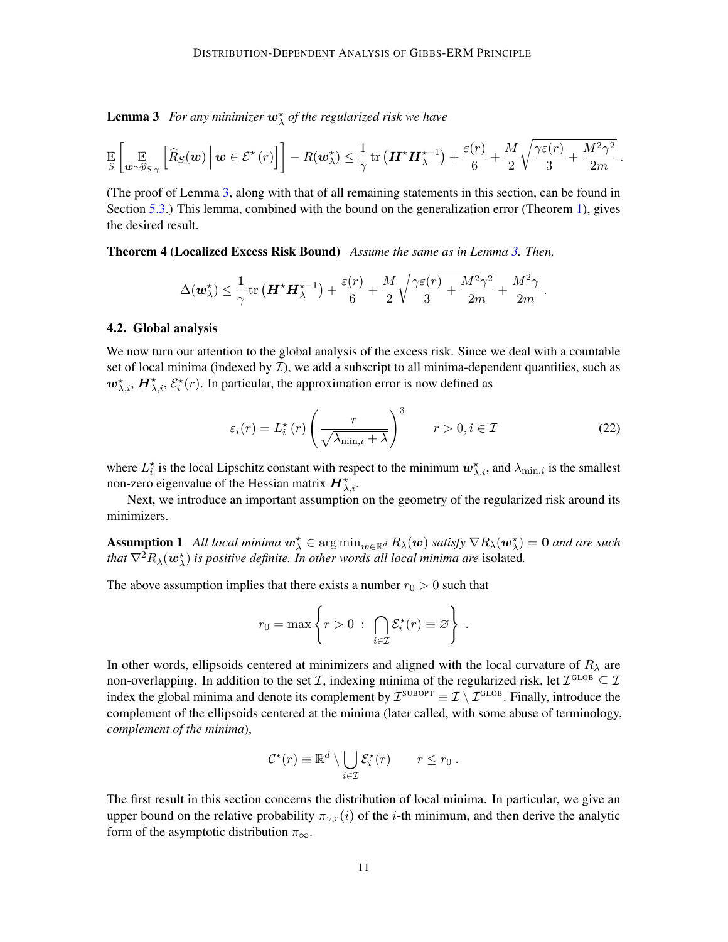**Lemma 3** For any minimizer  $w^{\star}_{\lambda}$  of the regularized risk we have

$$
\mathbb{E}\left[\mathbb{E}\left[\mathbb{E}_{\boldsymbol{w}\sim\widehat{p}_{S,\gamma}}\left[\widehat{R}_{S}(\boldsymbol{w})\,\bigg|\,\boldsymbol{w}\in\mathcal{E}^{\star}\left(r\right)\right]\right]-R(\boldsymbol{w}_{\lambda}^{\star})\leq\frac{1}{\gamma}\operatorname{tr}\left(\boldsymbol{H}^{\star}\boldsymbol{H}_{\lambda}^{\star-1}\right)+\frac{\varepsilon(r)}{6}+\frac{M}{2}\sqrt{\frac{\gamma\varepsilon(r)}{3}+\frac{M^{2}\gamma^{2}}{2m}}
$$

(The proof of Lemma [3,](#page-9-1) along with that of all remaining statements in this section, can be found in Section [5.3.](#page-15-0)) This lemma, combined with the bound on the generalization error (Theorem [1\)](#page-7-0), gives the desired result.

Theorem 4 (Localized Excess Risk Bound) *Assume the same as in Lemma [3.](#page-9-1) Then,*

<span id="page-10-0"></span>
$$
\Delta(\boldsymbol{w}_{\lambda}^{\star})\leq\frac{1}{\gamma}\operatorname{tr}\left(\boldsymbol{H}^{\star}\boldsymbol{H}_{\lambda}^{\star-1}\right)+\frac{\varepsilon(r)}{6}+\frac{M}{2}\sqrt{\frac{\gamma\varepsilon(r)}{3}+\frac{M^{2}\gamma^{2}}{2m}}+\frac{M^{2}\gamma}{2m}
$$

#### <span id="page-10-1"></span>4.2. Global analysis

We now turn our attention to the global analysis of the excess risk. Since we deal with a countable set of local minima (indexed by  $\mathcal{I}$ ), we add a subscript to all minima-dependent quantities, such as  $w^{\star}_{\lambda,i}$ ,  $H^{\star}_{\lambda,i}$ ,  $\mathcal{E}^{\star}_{i}(r)$ . In particular, the approximation error is now defined as

$$
\varepsilon_i(r) = L_i^{\star}(r) \left(\frac{r}{\sqrt{\lambda_{\min,i} + \lambda}}\right)^3 \qquad r > 0, i \in \mathcal{I}
$$
 (22)

.

.

where  $L_i^*$  is the local Lipschitz constant with respect to the minimum  $w_{\lambda,i}^*$ , and  $\lambda_{\min,i}$  is the smallest non-zero eigenvalue of the Hessian matrix  $\bm{H}_{\lambda,i}^{\star}$ .

<span id="page-10-3"></span>Next, we introduce an important assumption on the geometry of the regularized risk around its minimizers.

Assumption 1 *All local minima*  $w^{\star}_{\lambda} \in \arg\min_{w \in \mathbb{R}^d} R_{\lambda}(w)$  *satisfy*  $\nabla R_{\lambda}(w^{\star}_{\lambda}) = 0$  *and are such that*  $\nabla^2 R_\lambda(\boldsymbol{w}_\lambda^\star)$  *is positive definite. In other words all local minima are isolated.* 

The above assumption implies that there exists a number  $r_0 > 0$  such that

$$
r_0 = \max \left\{ r > 0 \; : \; \bigcap_{i \in \mathcal{I}} \mathcal{E}_i^{\star}(r) \equiv \varnothing \right\} \; .
$$

In other words, ellipsoids centered at minimizers and aligned with the local curvature of  $R_{\lambda}$  are non-overlapping. In addition to the set *T*, indexing minima of the regularized risk, let  $\mathcal{I}^{\text{GLOB}} \subseteq \mathcal{I}$ index the global minima and denote its complement by  $\mathcal{I}^{\text{SUBOPT}} \equiv \mathcal{I} \setminus \mathcal{I}^{\text{GLOB}}$ . Finally, introduce the complement of the ellipsoids centered at the minima (later called, with some abuse of terminology, *complement of the minima*),

<span id="page-10-2"></span>
$$
\mathcal{C}^{\star}(r) \equiv \mathbb{R}^d \setminus \bigcup_{i \in \mathcal{I}} \mathcal{E}_i^{\star}(r) \qquad r \leq r_0.
$$

The first result in this section concerns the distribution of local minima. In particular, we give an upper bound on the relative probability  $\pi_{\gamma,r}(i)$  of the *i*-th minimum, and then derive the analytic form of the asymptotic distribution  $\pi_{\infty}$ .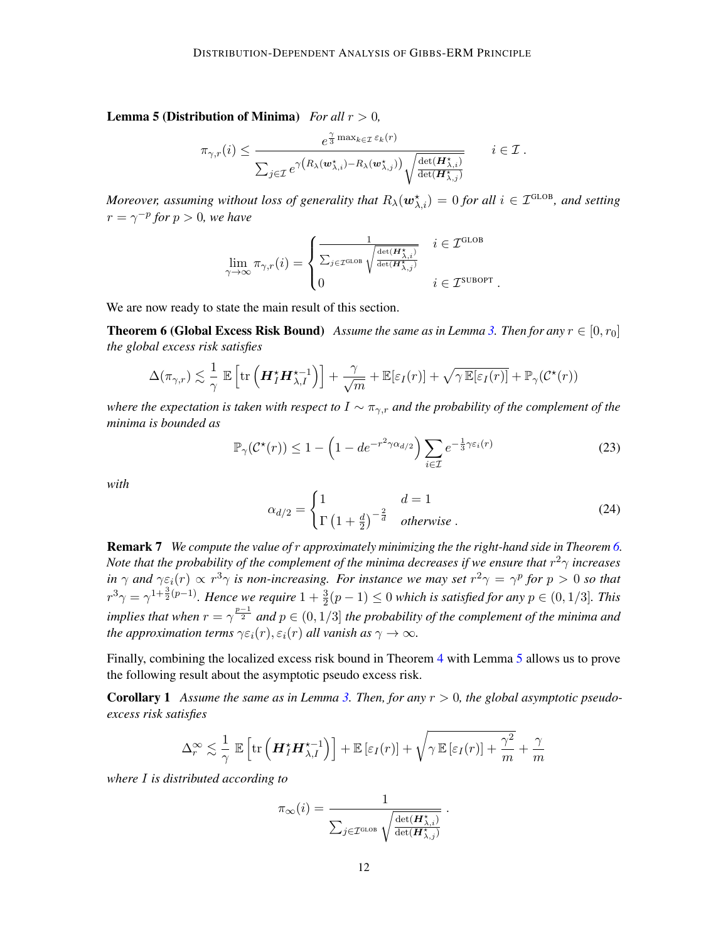**Lemma 5 (Distribution of Minima)** *For all*  $r > 0$ *,* 

$$
\pi_{\gamma,r}(i) \leq \frac{e^{\frac{\gamma}{3}\max_{k\in\mathcal{I}}\varepsilon_k(r)}}{\sum_{j\in\mathcal{I}}e^{\gamma\left(R_{\lambda}(\mathbf{w}_{\lambda,i}^\star)-R_{\lambda}(\mathbf{w}_{\lambda,j}^\star)\right)}\sqrt{\frac{\det(\mathbf{H}_{\lambda,i}^\star)}{\det(\mathbf{H}_{\lambda,j}^\star)}}} \qquad i\in\mathcal{I}.
$$

*Moreover, assuming without loss of generality that*  $R_\lambda(\bm{w}_{\lambda,i}^\star) = 0$  *for all*  $i \in \mathcal{I}^{\text{GLOB}}$ *, and setting*  $r = \gamma^{-p}$  for  $p > 0$ , we have

$$
\lim_{\gamma \to \infty} \pi_{\gamma,r}(i) = \begin{cases} \frac{1}{\sum_{j \in \mathcal{I}^{\text{GLOB}}} \sqrt{\frac{\det(H^{\star}_{\lambda,i})}{\det(H^{\star}_{\lambda,j})}}} & i \in \mathcal{I}^{\text{GLOB}}\\ 0 & i \in \mathcal{I}^{\text{SUBOPT}} \end{cases}
$$

We are now ready to state the main result of this section.

**Theorem 6 (Global Excess Risk Bound)** *Assume the same as in Lemma [3.](#page-9-1) Then for any*  $r \in [0, r_0]$ *the global excess risk satisfies*

$$
\Delta(\pi_{\gamma,r}) \lesssim \frac{1}{\gamma} \mathbb{E}\left[\text{tr}\left(\boldsymbol{H}_{I}^{\star}\boldsymbol{H}_{\lambda,I}^{\star-1}\right)\right] + \frac{\gamma}{\sqrt{m}} + \mathbb{E}[\varepsilon_{I}(r)] + \sqrt{\gamma \mathbb{E}[\varepsilon_{I}(r)]} + \mathbb{P}_{\gamma}(\mathcal{C}^{\star}(r))
$$

*where the expectation is taken with respect to* I ∼ πγ,r *and the probability of the complement of the minima is bounded as*

$$
\mathbb{P}_{\gamma}(\mathcal{C}^{\star}(r)) \le 1 - \left(1 - de^{-r^2 \gamma \alpha_{d/2}}\right) \sum_{i \in \mathcal{I}} e^{-\frac{1}{3} \gamma \varepsilon_i(r)} \tag{23}
$$

*with*

$$
\alpha_{d/2} = \begin{cases} 1 & d = 1 \\ \Gamma\left(1 + \frac{d}{2}\right)^{-\frac{2}{d}} & otherwise \end{cases}
$$
 (24)

<span id="page-11-2"></span>.

<span id="page-11-0"></span>Remark 7 *We compute the value of* r *approximately minimizing the the right-hand side in Theorem [6.](#page-11-2) Note that the probability of the complement of the minima decreases if we ensure that*  $r^2\gamma$  *increases in*  $\gamma$  *and*  $\gamma \varepsilon_i(r) \propto r^3 \gamma$  *is non-increasing. For instance we may set*  $r^2 \gamma = \gamma^p$  *for*  $p > 0$  *so that*  $r^3\gamma=\gamma^{1+\frac{3}{2}(p-1)}$ . Hence we require  $1+\frac{3}{2}(p-1)\leq 0$  which is satisfied for any  $p\in(0,1/3]$ . This *implies that when*  $r = \gamma^{\frac{p-1}{2}}$  and  $p \in (0,1/3]$  *the probability of the complement of the minima and the approximation terms*  $\gamma \varepsilon_i(r)$ ,  $\varepsilon_i(r)$  *all vanish as*  $\gamma \to \infty$ *.* 

Finally, combining the localized excess risk bound in Theorem [4](#page-10-0) with Lemma [5](#page-10-2) allows us to prove the following result about the asymptotic pseudo excess risk.

Corollary 1 *Assume the same as in Lemma [3.](#page-9-1) Then, for any* r > 0*, the global asymptotic pseudoexcess risk satisfies*

$$
\Delta_r^{\infty} \lesssim \frac{1}{\gamma} \mathbb{E} \left[ \text{tr} \left( \boldsymbol{H}_I^{\star} \boldsymbol{H}_{\lambda, I}^{\star -1} \right) \right] + \mathbb{E} \left[ \varepsilon_I(r) \right] + \sqrt{\gamma \mathbb{E} \left[ \varepsilon_I(r) \right] + \frac{\gamma^2}{m}} + \frac{\gamma}{m}
$$

*where* I *is distributed according to*

<span id="page-11-1"></span>
$$
\pi_{\infty}(i) = \frac{1}{\sum_{j \in \mathcal{I}^{\text{GLOB}}}\sqrt{\frac{\det(\boldsymbol{H}_{\lambda,i}^{\star})}{\det(\boldsymbol{H}_{\lambda,j}^{\star})}}} \ .
$$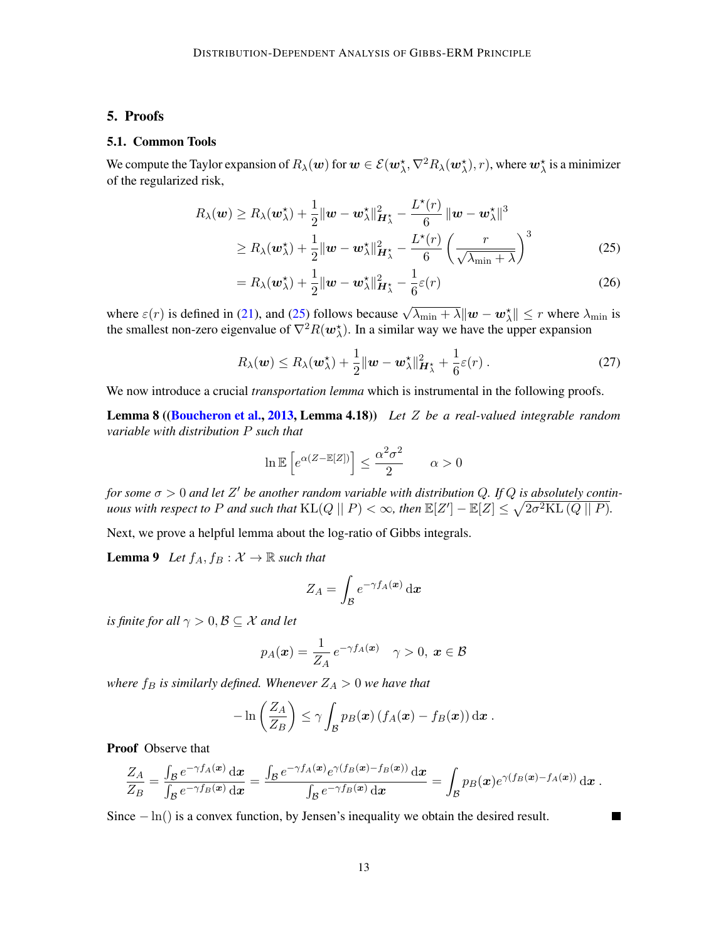# 5. Proofs

### 5.1. Common Tools

We compute the Taylor expansion of  $R_\lambda(\bm w)$  for  $\bm w\in \mathcal{E}(\bm w^\star_\lambda,\nabla^2 R_\lambda(\bm w^\star_\lambda),r),$  where  $\bm w^\star_\lambda$  is a minimizer of the regularized risk,

$$
R_{\lambda}(\boldsymbol{w}) \ge R_{\lambda}(\boldsymbol{w}_{\lambda}^{*}) + \frac{1}{2} ||\boldsymbol{w} - \boldsymbol{w}_{\lambda}^{*}||_{\boldsymbol{H}_{\lambda}^{*}}^{2} - \frac{L^{*}(r)}{6} ||\boldsymbol{w} - \boldsymbol{w}_{\lambda}^{*}||^{3}
$$
  
\n
$$
\ge R_{\lambda}(\boldsymbol{w}_{\lambda}^{*}) + \frac{1}{2} ||\boldsymbol{w} - \boldsymbol{w}_{\lambda}^{*}||_{\boldsymbol{H}_{\lambda}^{*}}^{2} - \frac{L^{*}(r)}{6} \left(\frac{r}{\sqrt{\lambda_{\min} + \lambda}}\right)^{3}
$$
(25)

<span id="page-12-3"></span><span id="page-12-0"></span>
$$
= R_{\lambda}(\boldsymbol{w}_{\lambda}^{\star}) + \frac{1}{2} ||\boldsymbol{w} - \boldsymbol{w}_{\lambda}^{\star}||_{\boldsymbol{H}_{\lambda}^{\star}}^2 - \frac{1}{6}\varepsilon(r)
$$
\n(26)

where  $\varepsilon(r)$  is defined in [\(21\)](#page-9-3), and [\(25\)](#page-12-0) follows because  $\sqrt{\lambda_{\min} + \lambda} ||w - w_{\lambda}^*|| \le r$  where  $\lambda_{\min}$  is the smallest non-zero eigenvalue of  $\nabla^2 R(w_\lambda^*)$ . In a similar way we have the upper expansion

<span id="page-12-4"></span>
$$
R_{\lambda}(\boldsymbol{w}) \leq R_{\lambda}(\boldsymbol{w}_{\lambda}^{*}) + \frac{1}{2} ||\boldsymbol{w} - \boldsymbol{w}_{\lambda}^{*}||_{\boldsymbol{H}_{\lambda}^{*}}^{2} + \frac{1}{6}\varepsilon(r) .
$$
 (27)

We now introduce a crucial *transportation lemma* which is instrumental in the following proofs.

Lemma 8 ([\(Boucheron et al.,](#page-24-10) [2013,](#page-24-10) Lemma 4.18)) *Let* Z *be a real-valued integrable random variable with distribution* P *such that*

<span id="page-12-1"></span>
$$
\ln \mathbb{E}\left[e^{\alpha(Z - \mathbb{E}[Z])}\right] \le \frac{\alpha^2 \sigma^2}{2} \qquad \alpha > 0
$$

*for some*  $\sigma > 0$  and let  $Z'$  be another random variable with distribution Q. If Q is absolutely contin*uous with respect to P and such that*  $\text{KL}(Q \mid\mid P) < \infty$ , then  $\mathbb{E}[Z'] - \mathbb{E}[Z] \leq \sqrt{2\sigma^2 \text{KL}(Q \mid\mid P)}$ .

Next, we prove a helpful lemma about the log-ratio of Gibbs integrals.

**Lemma 9** *Let*  $f_A, f_B: \mathcal{X} \to \mathbb{R}$  *such that* 

<span id="page-12-2"></span>
$$
Z_A = \int_{\mathcal{B}} e^{-\gamma f_A(\boldsymbol{x})} \, \mathrm{d} \boldsymbol{x}
$$

*is finite for all*  $\gamma > 0, \mathcal{B} \subseteq \mathcal{X}$  *and let* 

$$
p_A(\boldsymbol{x}) = \frac{1}{Z_A} e^{-\gamma f_A(\boldsymbol{x})} \quad \gamma > 0, \ \boldsymbol{x} \in \mathcal{B}
$$

*where*  $f_B$  *is similarly defined. Whenever*  $Z_A > 0$  *we have that* 

$$
-\ln\left(\frac{Z_A}{Z_B}\right)\leq \gamma \int_{\mathcal{B}} p_B(\boldsymbol{x}) \left(f_A(\boldsymbol{x})-f_B(\boldsymbol{x})\right) \mathrm{d}\boldsymbol{x}.
$$

Proof Observe that

$$
\frac{Z_A}{Z_B} = \frac{\int_{\mathcal{B}} e^{-\gamma f_A(\boldsymbol{x})} \,\mathrm{d} \boldsymbol{x}}{\int_{\mathcal{B}} e^{-\gamma f_B(\boldsymbol{x})} \,\mathrm{d} \boldsymbol{x}} = \frac{\int_{\mathcal{B}} e^{-\gamma f_A(\boldsymbol{x})} e^{\gamma (f_B(\boldsymbol{x}) - f_B(\boldsymbol{x}))} \,\mathrm{d} \boldsymbol{x}}{\int_{\mathcal{B}} e^{-\gamma f_B(\boldsymbol{x})} \,\mathrm{d} \boldsymbol{x}} = \int_{\mathcal{B}} p_B(\boldsymbol{x}) e^{\gamma (f_B(\boldsymbol{x}) - f_A(\boldsymbol{x}))} \,\mathrm{d} \boldsymbol{x}.
$$

Since  $-\ln()$  is a convex function, by Jensen's inequality we obtain the desired result.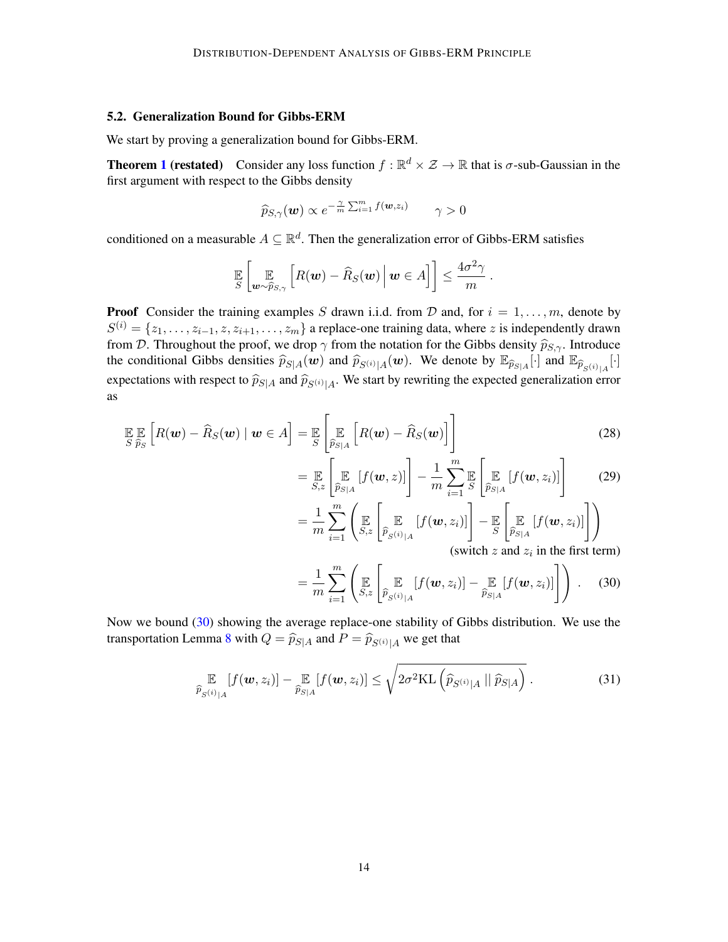# <span id="page-13-0"></span>5.2. Generalization Bound for Gibbs-ERM

We start by proving a generalization bound for Gibbs-ERM.

**Theorem [1](#page-7-0) (restated)** Consider any loss function  $f : \mathbb{R}^d \times \mathcal{Z} \to \mathbb{R}$  that is  $\sigma$ -sub-Gaussian in the first argument with respect to the Gibbs density

$$
\widehat{p}_{S,\gamma}(\boldsymbol{w}) \propto e^{-\frac{\gamma}{m} \sum_{i=1}^{m} f(\boldsymbol{w}, z_i)} \qquad \gamma > 0
$$

conditioned on a measurable  $A \subseteq \mathbb{R}^d$ . Then the generalization error of Gibbs-ERM satisfies

$$
\mathbb{E}_{S}\left[\mathbb{E}_{\boldsymbol{w}\sim\widehat{p}_{S,\gamma}}\left[R(\boldsymbol{w})-\widehat{R}_{S}(\boldsymbol{w})\,\big|\,\boldsymbol{w}\in A\right]\right]\leq\frac{4\sigma^2\gamma}{m}
$$

**Proof** Consider the training examples S drawn i.i.d. from D and, for  $i = 1, \ldots, m$ , denote by  $S^{(i)} = \{z_1, \ldots, z_{i-1}, z, z_{i+1}, \ldots, z_m\}$  a replace-one training data, where z is independently drawn from D. Throughout the proof, we drop  $\gamma$  from the notation for the Gibbs density  $\hat{p}_{S,\gamma}$ . Introduce the conditional Gibbs densities  $\hat{p}_{S|A}(\mathbf{w})$  and  $\hat{p}_{S(i)|A}(\mathbf{w})$ . We denote by  $\mathbb{E}_{\hat{p}_{S|A}}[\cdot]$  and  $\mathbb{E}_{\hat{p}_{S(i)|A}}[\cdot]$ expectations with respect to  $\widehat{p}_{S|A}$  and  $\widehat{p}_{S(i)|A}$ . We start by rewriting the expected generalization error as

$$
\mathbb{E}\mathbb{E}\left[R(\boldsymbol{w}) - \widehat{R}_{S}(\boldsymbol{w}) \mid \boldsymbol{w} \in A\right] = \mathbb{E}\left[\mathbb{E}\left[R(\boldsymbol{w}) - \widehat{R}_{S}(\boldsymbol{w})\right]\right]
$$
(28)

$$
= \mathop{\mathbb{E}}_{S,z} \left[ \mathop{\mathbb{E}}_{\widehat{p}_{S|A}} [f(\boldsymbol{w}, z)] \right] - \frac{1}{m} \sum_{i=1}^{m} \mathop{\mathbb{E}}_{S} \left[ \mathop{\mathbb{E}}_{\widehat{p}_{S|A}} [f(\boldsymbol{w}, z_i)] \right]
$$
(29)

.

$$
= \frac{1}{m} \sum_{i=1}^{m} \left( \mathop{\mathbb{E}}_{S,z} \left[ \mathop{\mathbb{E}}_{\widehat{p}_{S}(i)_{|A}} \left[ f(\boldsymbol{w}, z_{i}) \right] \right] - \mathop{\mathbb{E}}_{S} \left[ \mathop{\mathbb{E}}_{\widehat{p}_{S|A}} \left[ f(\boldsymbol{w}, z_{i}) \right] \right] \right)
$$
  
(switch z and  $z_{i}$  in the first term)

<span id="page-13-3"></span><span id="page-13-1"></span>(swich 
$$
z
$$
 and  $z_i$  in the first term)

$$
= \frac{1}{m} \sum_{i=1}^{m} \left( \mathop{\mathbb{E}}_{S,z} \left[ \mathop{\mathbb{E}}_{\widehat{p}_{S}(i)|A} [f(\boldsymbol{w}, z_i)] - \mathop{\mathbb{E}}_{\widehat{p}_{S|A}} [f(\boldsymbol{w}, z_i)] \right] \right) . \quad (30)
$$

Now we bound [\(30\)](#page-13-1) showing the average replace-one stability of Gibbs distribution. We use the transportation Lemma [8](#page-12-1) with  $Q = \widehat{p}_{S|A}$  and  $P = \widehat{p}_{S(i)|A}$  we get that

<span id="page-13-2"></span>
$$
\underset{\widehat{p}_{S^{(i)}|A}}{\mathbb{E}}[f(\boldsymbol{w},z_i)] - \underset{\widehat{p}_{S|A}}{\mathbb{E}}[f(\boldsymbol{w},z_i)] \leq \sqrt{2\sigma^2 \text{KL}\left(\widehat{p}_{S^{(i)}|A} \mid \mid \widehat{p}_{S|A}\right)}.
$$
\n(31)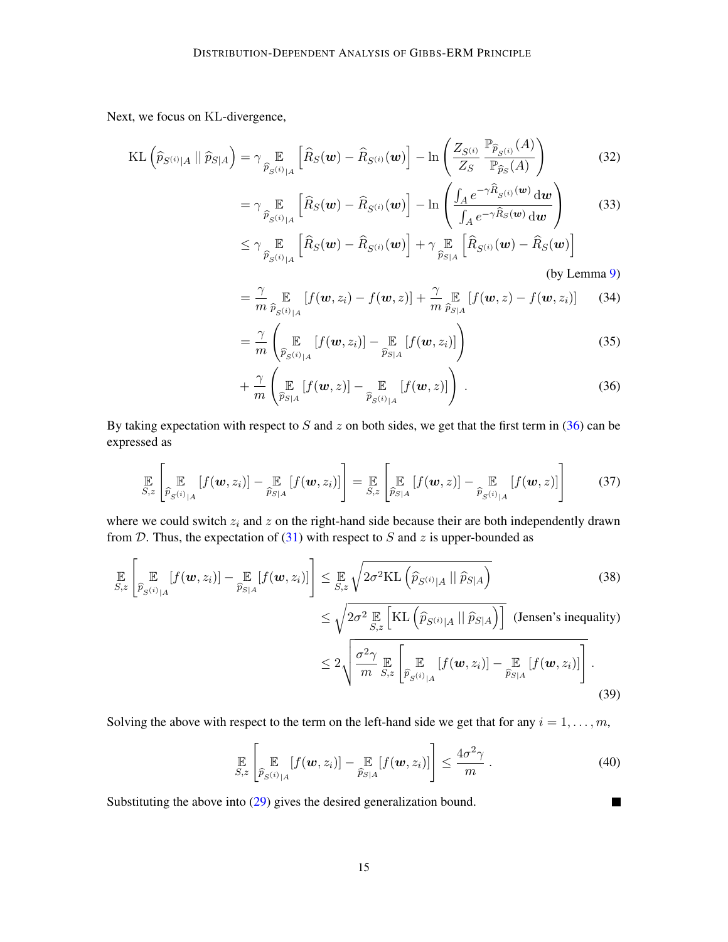Next, we focus on KL-divergence,

$$
KL\left(\widehat{p}_{S^{(i)}|A} \mid \widehat{p}_{S|A}\right) = \gamma \mathop{\mathbb{E}}_{\widehat{p}_{S^{(i)}|A}}\left[\widehat{R}_{S}(\boldsymbol{w}) - \widehat{R}_{S^{(i)}}(\boldsymbol{w})\right] - \ln\left(\frac{Z_{S^{(i)}}}{Z_{S}} \frac{\mathbb{P}_{\widehat{p}_{S^{(i)}}}(A)}{\mathbb{P}_{\widehat{p}_{S}}(A)}\right)
$$
(32)

$$
= \gamma \mathop{\mathbb{E}}_{\widehat{p}_{S^{(i)}|A}} \left[ \widehat{R}_{S}(\boldsymbol{w}) - \widehat{R}_{S^{(i)}}(\boldsymbol{w}) \right] - \ln \left( \frac{\int_{A} e^{-\gamma \widehat{R}_{S^{(i)}}(\boldsymbol{w})} d\boldsymbol{w}}{\int_{A} e^{-\gamma \widehat{R}_{S}(\boldsymbol{w})} d\boldsymbol{w}} \right)
$$
(33)  

$$
< \gamma \mathop{\mathbb{E}}_{\gamma} \left[ \widehat{R}_{S}(\boldsymbol{w}) - \widehat{R}_{S^{(i)}}(\boldsymbol{w}) \right] + \gamma \mathop{\mathbb{E}}_{\gamma} \left[ \widehat{R}_{S^{(i)}}(\boldsymbol{w}) - \widehat{R}_{S}(\boldsymbol{w}) \right]
$$

$$
\leq \gamma \mathop{\mathbb{E}}_{\widehat{p}_{S^{(i)}|A}} \left[ \widehat{R}_{S}(\boldsymbol{w}) - \widehat{R}_{S^{(i)}}(\boldsymbol{w}) \right] + \gamma \mathop{\mathbb{E}}_{\widehat{p}_{S|A}} \left[ \widehat{R}_{S^{(i)}}(\boldsymbol{w}) - \widehat{R}_{S}(\boldsymbol{w}) \right]
$$
\n(by Lemma 9)

$$
= \frac{\gamma}{m} \mathop{\mathbb{E}}_{\widehat{p}_{S^{(i)}|A}} [f(\boldsymbol{w}, z_i) - f(\boldsymbol{w}, z)] + \frac{\gamma}{m} \mathop{\mathbb{E}}_{\widehat{p}_{S|A}} [f(\boldsymbol{w}, z) - f(\boldsymbol{w}, z_i)] \qquad (34)
$$

$$
= \frac{\gamma}{m} \left( \mathop{\mathbb{E}}_{\widehat{p}_{S^{(i)}|A}} [f(\boldsymbol{w}, z_i)] - \mathop{\mathbb{E}}_{\widehat{p}_{S|A}} [f(\boldsymbol{w}, z_i)] \right)
$$
(35)

<span id="page-14-0"></span>
$$
+\frac{\gamma}{m}\left(\mathop{\mathbb{E}}_{\widehat{p}_{S|A}}[f(\boldsymbol{w},z)] - \mathop{\mathbb{E}}_{\widehat{p}_{S}(i)|A}[f(\boldsymbol{w},z)]\right).
$$
\n(36)

By taking expectation with respect to S and z on both sides, we get that the first term in  $(36)$  can be expressed as

$$
\mathop{\mathbb{E}}_{S,z}\left[\mathop{\mathbb{E}}_{\widehat{p}_{S}(i)|A}\left[f(\boldsymbol{w},z_{i})\right]-\mathop{\mathbb{E}}_{\widehat{p}_{S|A}}\left[f(\boldsymbol{w},z_{i})\right]\right]=\mathop{\mathbb{E}}_{S,z}\left[\mathop{\mathbb{E}}_{\widehat{p}_{S|A}}\left[f(\boldsymbol{w},z)\right]-\mathop{\mathbb{E}}_{\widehat{p}_{S}(i)|A}\left[f(\boldsymbol{w},z)\right]\right]
$$
(37)

where we could switch  $z_i$  and  $z$  on the right-hand side because their are both independently drawn from D. Thus, the expectation of [\(31\)](#page-13-2) with respect to S and z is upper-bounded as

$$
\mathop{\mathbb{E}}_{S,z} \left[ \mathop{\mathbb{E}}_{\widehat{p}_{S}(i)_{|A}} [f(\boldsymbol{w}, z_i)] - \mathop{\mathbb{E}}_{\widehat{p}_{S|A}} [f(\boldsymbol{w}, z_i)] \right] \leq \mathop{\mathbb{E}}_{S,z} \sqrt{2\sigma^2 \text{KL} \left( \widehat{p}_{S}(i)_{|A} \mid \mid \widehat{p}_{S|A} \right)} \tag{38}
$$

$$
\leq \sqrt{2\sigma^2 \mathop{\mathbb{E}}_{S,z} \left[ \text{KL} \left( \widehat{p}_{S^{(i)}|A} \mid \mid \widehat{p}_{S|A} \right) \right] \text{ (Jensen's inequality)}}\n\n
$$
\leq 2\sqrt{\frac{\sigma^2 \gamma}{m} \mathop{\mathbb{E}}_{S,z} \left[ \mathop{\mathbb{E}}_{\widehat{p}_{S^{(i)}|A}} [f(\boldsymbol{w}, z_i)] - \mathop{\mathbb{E}}_{\widehat{p}_{S|A}} [f(\boldsymbol{w}, z_i)] \right]}.
$$
\n(39)
$$

Solving the above with respect to the term on the left-hand side we get that for any  $i = 1, \ldots, m$ ,

$$
\mathop{\mathbb{E}}_{S,z}\left[\mathop{\mathbb{E}}_{\widehat{p}_{S^{(i)}|A}}[f(\boldsymbol{w},z_i)] - \mathop{\mathbb{E}}_{\widehat{p}_{S|A}}[f(\boldsymbol{w},z_i)]\right] \leq \frac{4\sigma^2\gamma}{m}.
$$
\n(40)

 $\blacksquare$ 

Substituting the above into [\(29\)](#page-13-3) gives the desired generalization bound.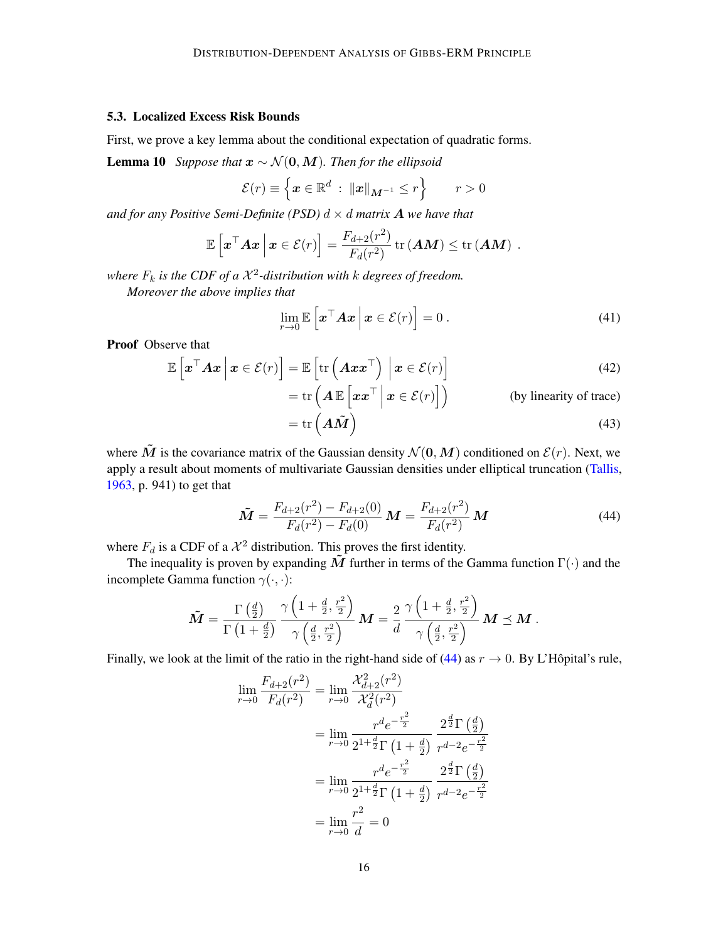### <span id="page-15-0"></span>5.3. Localized Excess Risk Bounds

First, we prove a key lemma about the conditional expectation of quadratic forms.

**Lemma 10** *Suppose that*  $x \sim \mathcal{N}(0, M)$ *. Then for the ellipsoid* 

<span id="page-15-2"></span>
$$
\mathcal{E}(r) \equiv \left\{ \boldsymbol{x} \in \mathbb{R}^d \; : \; \|\boldsymbol{x}\|_{\boldsymbol{M}^{-1}} \le r \right\} \qquad r > 0
$$

*and for any Positive Semi-Definite (PSD)*  $d \times d$  *matrix* **A** *we have that* 

$$
\mathbb{E}\left[\boldsymbol{x}^\top \boldsymbol{A} \boldsymbol{x} \,\Big|\, \boldsymbol{x} \in \mathcal{E}(r)\right] = \frac{F_{d+2}(r^2)}{F_d(r^2)} \operatorname{tr}(\boldsymbol{A} \boldsymbol{M}) \leq \operatorname{tr}(\boldsymbol{A} \boldsymbol{M}) \ .
$$

where  $F_k$  is the CDF of a  $\mathcal{X}^2$ -distribution with  $k$  degrees of freedom.

*Moreover the above implies that*

$$
\lim_{r \to 0} \mathbb{E}\left[\boldsymbol{x}^\top \boldsymbol{A} \boldsymbol{x} \, \middle| \, \boldsymbol{x} \in \mathcal{E}(r)\right] = 0 \,. \tag{41}
$$

Proof Observe that

$$
\mathbb{E}\left[\boldsymbol{x}^{\top}\boldsymbol{A}\boldsymbol{x}\,\Big|\,\boldsymbol{x}\in\mathcal{E}(r)\right] = \mathbb{E}\left[\text{tr}\left(\boldsymbol{A}\boldsymbol{x}\boldsymbol{x}^{\top}\right)\,\Big|\,\boldsymbol{x}\in\mathcal{E}(r)\right] \\
= \text{tr}\left(\boldsymbol{A}\,\mathbb{E}\left[\boldsymbol{x}\boldsymbol{x}^{\top}\,\Big|\,\boldsymbol{x}\in\mathcal{E}(r)\right]\right) \tag{42}
$$

$$
= \text{tr}\left(A\,\mathbb{E}\left[\boldsymbol{x}\boldsymbol{x}^{\top}\,\middle|\,\boldsymbol{x}\in\mathcal{E}(r)\right]\right) \qquad \text{(by linearity of trace)}
$$

$$
= \text{tr}\left(A\tilde{\boldsymbol{M}}\right) \qquad \text{(43)}
$$

<span id="page-15-1"></span>
$$
= \text{tr}\left(AM\right) \tag{43}
$$

where  $\tilde{M}$  is the covariance matrix of the Gaussian density  $\mathcal{N}(0, M)$  conditioned on  $\mathcal{E}(r)$ . Next, we apply a result about moments of multivariate Gaussian densities under elliptical truncation [\(Tallis,](#page-26-8) [1963,](#page-26-8) p. 941) to get that

$$
\tilde{M} = \frac{F_{d+2}(r^2) - F_{d+2}(0)}{F_d(r^2) - F_d(0)} M = \frac{F_{d+2}(r^2)}{F_d(r^2)} M
$$
\n(44)

where  $F_d$  is a CDF of a  $\mathcal{X}^2$  distribution. This proves the first identity.

The inequality is proven by expanding  $\tilde{M}$  further in terms of the Gamma function  $\Gamma(\cdot)$  and the incomplete Gamma function  $\gamma(\cdot, \cdot)$ :

$$
\tilde{M} = \frac{\Gamma\left(\frac{d}{2}\right)}{\Gamma\left(1+\frac{d}{2}\right)} \frac{\gamma\left(1+\frac{d}{2},\frac{r^2}{2}\right)}{\gamma\left(\frac{d}{2},\frac{r^2}{2}\right)} M = \frac{2}{d} \frac{\gamma\left(1+\frac{d}{2},\frac{r^2}{2}\right)}{\gamma\left(\frac{d}{2},\frac{r^2}{2}\right)} M \preceq M.
$$

Finally, we look at the limit of the ratio in the right-hand side of [\(44\)](#page-15-1) as  $r \to 0$ . By L'Hôpital's rule,

$$
\lim_{r \to 0} \frac{F_{d+2}(r^2)}{F_d(r^2)} = \lim_{r \to 0} \frac{\mathcal{X}_{d+2}^2(r^2)}{\mathcal{X}_d^2(r^2)}
$$
\n
$$
= \lim_{r \to 0} \frac{r^d e^{-\frac{r^2}{2}}}{2^{1 + \frac{d}{2}} \Gamma(1 + \frac{d}{2})} \frac{2^{\frac{d}{2}} \Gamma(\frac{d}{2})}{r^{d-2} e^{-\frac{r^2}{2}}}
$$
\n
$$
= \lim_{r \to 0} \frac{r^d e^{-\frac{r^2}{2}}}{2^{1 + \frac{d}{2}} \Gamma(1 + \frac{d}{2})} \frac{2^{\frac{d}{2}} \Gamma(\frac{d}{2})}{r^{d-2} e^{-\frac{r^2}{2}}}
$$
\n
$$
= \lim_{r \to 0} \frac{r^2}{d} = 0
$$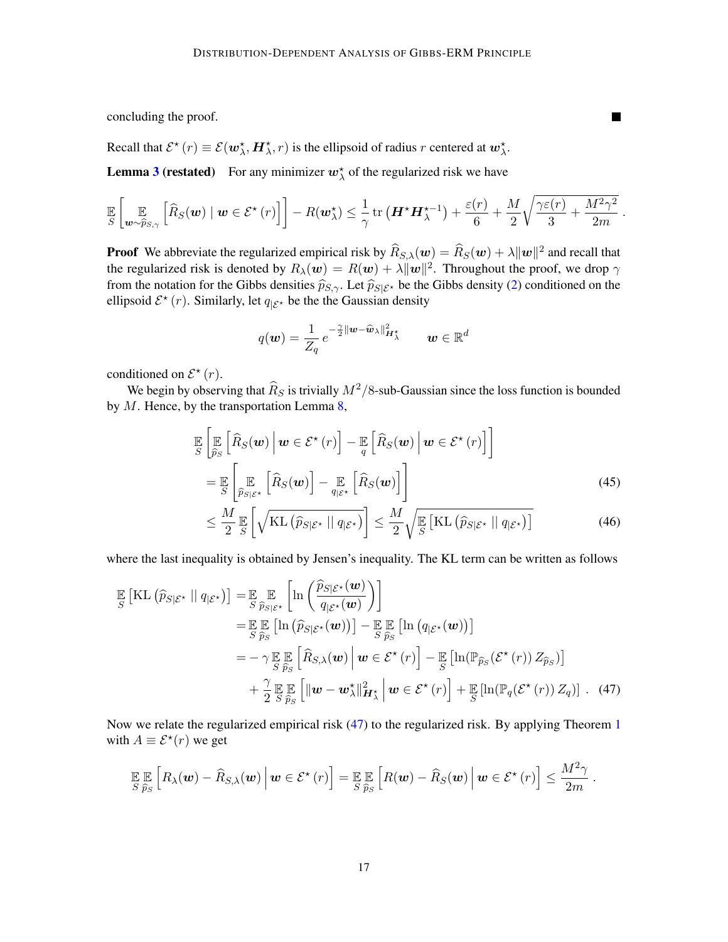concluding the proof.

Recall that  $\mathcal{E}^*(r) \equiv \mathcal{E}(\boldsymbol{w}_\lambda^*, \boldsymbol{H}_\lambda^*, r)$  is the ellipsoid of radius r centered at  $\boldsymbol{w}_\lambda^*$ .

**Lemma [3](#page-9-1) (restated)** For any minimizer  $w_{\lambda}^*$  of the regularized risk we have

$$
\mathbb{E}\left[\mathbb{E}\left[\mathbb{E}_{\boldsymbol{w}\sim\widehat{p}_{S,\gamma}}\left[\widehat{R}_{S}(\boldsymbol{w})\mid\boldsymbol{w}\in\mathcal{E}^{\star}\left(r\right)\right]\right]-R(\boldsymbol{w}_{\lambda}^{\star})\leq\frac{1}{\gamma}\operatorname{tr}\left(\boldsymbol{H}^{\star}\boldsymbol{H}_{\lambda}^{\star-1}\right)+\frac{\varepsilon(r)}{6}+\frac{M}{2}\sqrt{\frac{\gamma\varepsilon(r)}{3}+\frac{M^{2}\gamma^{2}}{2m}}
$$

**Proof** We abbreviate the regularized empirical risk by  $\widehat{R}_{S,\lambda}(w) = \widehat{R}_S(w) + \lambda ||w||^2$  and recall that the regularized risk is denoted by  $R_{\lambda}(\bm{w}) = R(\bm{w}) + \lambda \|\bm{w}\|^2$ . Throughout the proof, we drop  $\gamma$ from the notation for the Gibbs densities  $\hat{p}_{S,\gamma}$ . Let  $\hat{p}_{S|\mathcal{E}^*}$  be the Gibbs density [\(2\)](#page-1-0) conditioned on the ellipsoid  $\mathcal{E}^{\star}(r)$ . Similarly, let  $q_{|\mathcal{E}^{\star}}$  be the the Gaussian density

$$
q(\boldsymbol{w}) = \frac{1}{Z_q} e^{-\frac{\gamma}{2} ||\boldsymbol{w} - \widehat{\boldsymbol{w}}_{\lambda}||_{\boldsymbol{H}_{\lambda}^{\star}}} \qquad \boldsymbol{w} \in \mathbb{R}^d
$$

conditioned on  $\mathcal{E}^{\star}(r)$ .

We begin by observing that  $\widehat{R}_S$  is trivially  $M^2/8$ -sub-Gaussian since the loss function is bounded by  $M$ . Hence, by the transportation Lemma [8,](#page-12-1)

$$
\mathbb{E}\left[\mathbb{E}\left[\widehat{R}_{S}(\boldsymbol{w})\,\big|\,\boldsymbol{w}\in\mathcal{E}^{\star}\left(r\right)\right]-\mathbb{E}\left[\widehat{R}_{S}(\boldsymbol{w})\,\big|\,\boldsymbol{w}\in\mathcal{E}^{\star}\left(r\right)\right]\right]
$$
\n
$$
=\mathbb{E}\left[\mathbb{E}\left[\mathbb{E}\left[\widehat{R}_{S}(\boldsymbol{w})\right]-\mathbb{E}\left[\widehat{R}_{S}(\boldsymbol{w})\right]\right]\right]
$$
\n
$$
(45)
$$

<span id="page-16-0"></span>
$$
\leq \frac{M}{2} \mathbb{E}\left[\sqrt{\mathrm{KL}\left(\widehat{p}_{S|\mathcal{E}^{\star}} \mid \| q_{\mathcal{E}^{\star}}\right)}\right] \leq \frac{M}{2} \sqrt{\mathbb{E}\left[\mathrm{KL}\left(\widehat{p}_{S|\mathcal{E}^{\star}} \mid \| q_{\mathcal{E}^{\star}}\right)\right]}
$$
(46)

where the last inequality is obtained by Jensen's inequality. The KL term can be written as follows

$$
\mathbb{E}\left[\mathrm{KL}\left(\widehat{p}_{S|\mathcal{E}^*} \mid\mid q_{|\mathcal{E}^*}\right)\right] = \mathbb{E}\sum_{\widehat{S}} \mathbb{E}\left[\ln\left(\frac{\widehat{p}_{S|\mathcal{E}^*}(\boldsymbol{w})}{q_{|\mathcal{E}^*}(\boldsymbol{w})}\right)\right]
$$
\n
$$
= \mathbb{E}\mathbb{E}\left[\ln\left(\widehat{p}_{S|\mathcal{E}^*}(\boldsymbol{w})\right)\right] - \mathbb{E}\mathbb{E}\left[\ln\left(q_{|\mathcal{E}^*}(\boldsymbol{w})\right)\right]
$$
\n
$$
= -\gamma \mathbb{E}\mathbb{E}\left[\widehat{R}_{S,\lambda}(\boldsymbol{w}) \mid \boldsymbol{w} \in \mathcal{E}^*(r)\right] - \mathbb{E}\left[\ln(\mathbb{P}_{\widehat{p}_S}(\mathcal{E}^*(r)) Z_{\widehat{p}_S})\right]
$$
\n
$$
+ \frac{\gamma}{2} \mathbb{E}\mathbb{E}\left[\left\|\boldsymbol{w} - \boldsymbol{w}_{\lambda}^*\right\|_{\boldsymbol{H}_{\lambda}^*}^2 \mid \boldsymbol{w} \in \mathcal{E}^*(r)\right] + \mathbb{E}\left[\ln(\mathbb{P}_{q}(\mathcal{E}^*(r)) Z_{q})\right]. \quad (47)
$$

Now we relate the regularized empirical risk [\(47\)](#page-16-0) to the regularized risk. By applying Theorem [1](#page-7-0) with  $A \equiv \mathcal{E}^*(r)$  we get

$$
\mathop{\mathbb{E}}_{S} \mathop{\mathbb{E}}_{\widehat{p}_S} \left[ R_\lambda(\boldsymbol{w}) - \widehat{R}_{S,\lambda}(\boldsymbol{w}) \, \Big| \, \boldsymbol{w} \in \mathcal{E}^\star\left(r\right) \right] = \mathop{\mathbb{E}}_{S} \mathop{\mathbb{E}}_{\widehat{p}_S} \left[ R(\boldsymbol{w}) - \widehat{R}_S(\boldsymbol{w}) \, \Big| \, \boldsymbol{w} \in \mathcal{E}^\star\left(r\right) \right] \le \frac{M^2 \gamma}{2m} \, .
$$

**The Contract of the Contract of the Contract of the Contract of the Contract of the Contract of the Contract o** 

<span id="page-16-2"></span><span id="page-16-1"></span>.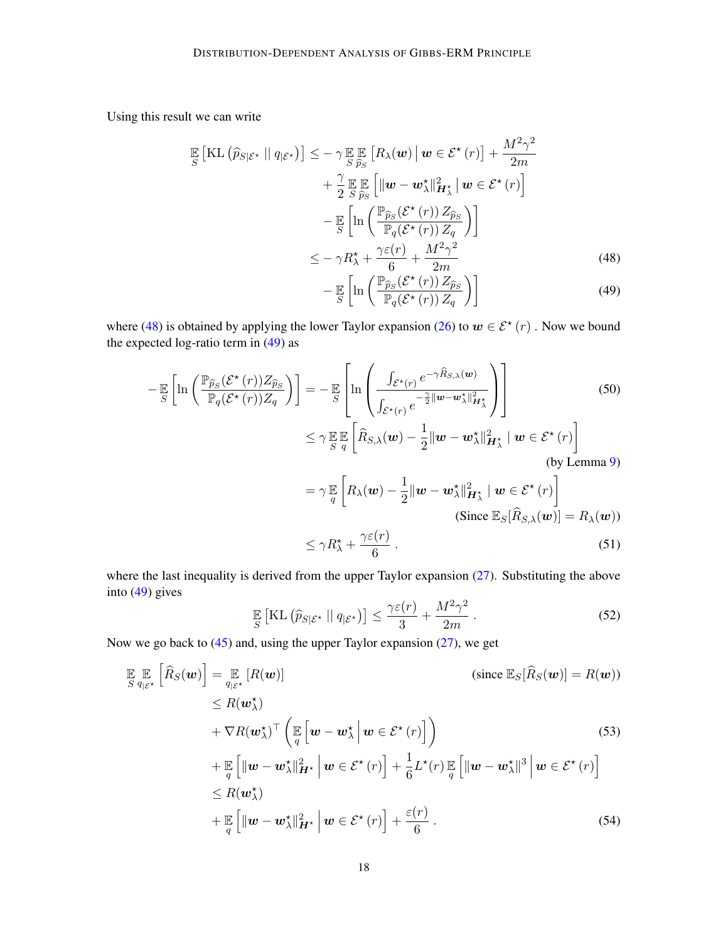Using this result we can write

$$
\mathbb{E}\left[\mathrm{KL}\left(\widehat{p}_{S|\mathcal{E}^*} \mid \| q_{|\mathcal{E}^*}\right)\right] \leq -\gamma \mathbb{E}\left[\mathbb{E}\left[R_{\lambda}(\boldsymbol{w}) \mid \boldsymbol{w} \in \mathcal{E}^*(r)\right] + \frac{M^2\gamma^2}{2m} + \frac{\gamma}{2} \mathbb{E}\left[\|\boldsymbol{w} - \boldsymbol{w}_{\lambda}^*\|_{\boldsymbol{H}_{\lambda}^*}^2 \mid \boldsymbol{w} \in \mathcal{E}^*(r)\right] - \mathbb{E}\left[\ln\left(\frac{\mathbb{P}_{\widehat{p}_{S}}(\mathcal{E}^*(r)) Z_{\widehat{p}_{S}}}{\mathbb{P}_{q}(\mathcal{E}^*(r)) Z_{q}}\right)\right] - \gamma R_{\lambda}^* + \frac{\gamma \varepsilon(r)}{6} + \frac{M^2\gamma^2}{2m} \tag{48}
$$

<span id="page-17-1"></span><span id="page-17-0"></span>
$$
-\mathbb{E}\left[\ln\left(\frac{\mathbb{P}_{\widehat{p}_S}(\mathcal{E}^{\star}(r))Z_{\widehat{p}_S}}{\mathbb{P}_q(\mathcal{E}^{\star}(r))Z_q}\right)\right]
$$
(49)

where [\(48\)](#page-17-0) is obtained by applying the lower Taylor expansion [\(26\)](#page-12-3) to  $w \in \mathcal{E}^{\star}(r)$ . Now we bound the expected log-ratio term in  $(49)$  as

$$
-\mathbb{E}\left[\ln\left(\frac{\mathbb{P}_{\widehat{p}_{S}}(\mathcal{E}^{\star}(r))Z_{\widehat{p}_{S}}}{\mathbb{P}_{q}(\mathcal{E}^{\star}(r))Z_{q}}\right)\right] = -\mathbb{E}\left[\ln\left(\frac{\int_{\mathcal{E}^{\star}(r)}e^{-\gamma\widehat{R}_{S,\lambda}(w)}}{\int_{\mathcal{E}^{\star}(r)}e^{-\frac{\gamma}{2}\|\mathbf{w}-\mathbf{w}_{\lambda}^{\star}\|_{H_{\lambda}^{\star}}^{2}}}\right)\right]
$$
(50)  

$$
\leq \gamma \mathbb{E}\mathbb{E}\left[\widehat{R}_{S,\lambda}(\mathbf{w}) - \frac{1}{2}\|\mathbf{w}-\mathbf{w}_{\lambda}^{\star}\|_{H_{\lambda}^{\star}}^{2} \mid \mathbf{w} \in \mathcal{E}^{\star}(r)\right]
$$
(by Lemma 9)

$$
= \gamma \mathbb{E}_{q} \left[ R_{\lambda}(\boldsymbol{w}) - \frac{1}{2} || \boldsymbol{w} - \boldsymbol{w}_{\lambda}^{\star} ||_{\boldsymbol{H}_{\lambda}^{\star}}^2 \mid \boldsymbol{w} \in \mathcal{E}^{\star}(r) \right]
$$
  
(Since  $\mathbb{E}_{S}[\widehat{R}_{S,\lambda}(\boldsymbol{w})] = R_{\lambda}(\boldsymbol{w})$ )  
 $\leq \gamma P^{\star} + \gamma \varepsilon(r)$  (51)

$$
\leq \gamma R_{\lambda}^{\star} + \frac{\gamma \epsilon(\tau)}{6} \,. \tag{51}
$$

where the last inequality is derived from the upper Taylor expansion [\(27\)](#page-12-4). Substituting the above into [\(49\)](#page-17-1) gives

<span id="page-17-4"></span><span id="page-17-3"></span><span id="page-17-2"></span>
$$
\mathbb{E}\left[\mathrm{KL}\left(\widehat{p}_{S|\mathcal{E}^*} \mid \| q_{|\mathcal{E}^*}\right)\right] \le \frac{\gamma \varepsilon(r)}{3} + \frac{M^2 \gamma^2}{2m} \,. \tag{52}
$$

Now we go back to  $(45)$  and, using the upper Taylor expansion  $(27)$ , we get

$$
\mathbb{E} \mathbb{E} \left[ \widehat{R}_{S}(\boldsymbol{w}) \right] = \mathbb{E} \left[ R(\boldsymbol{w}) \right] \n\leq R(\boldsymbol{w}_{\lambda}^{\star}) \n+ \nabla R(\boldsymbol{w}_{\lambda}^{\star})^{\top} \left( \mathbb{E} \left[ \boldsymbol{w} - \boldsymbol{w}_{\lambda}^{\star} \, \middle| \, \boldsymbol{w} \in \mathcal{E}^{\star} (r) \right] \right) \n+ \mathbb{E} \left[ \|\boldsymbol{w} - \boldsymbol{w}_{\lambda}^{\star}\|_{\boldsymbol{H}^{\star}}^{2} \, \middle| \, \boldsymbol{w} \in \mathcal{E}^{\star} (r) \right] \right) \n\leq R(\boldsymbol{w}_{\lambda}^{\star}) \n+ \mathbb{E} \left[ \|\boldsymbol{w} - \boldsymbol{w}_{\lambda}^{\star}\|_{\boldsymbol{H}^{\star}}^{2} \, \middle| \, \boldsymbol{w} \in \mathcal{E}^{\star} (r) \right] + \frac{1}{6} L^{\star}(r) \mathbb{E} \left[ \|\boldsymbol{w} - \boldsymbol{w}_{\lambda}^{\star}\|^{3} \, \middle| \, \boldsymbol{w} \in \mathcal{E}^{\star} (r) \right] \n\leq R(\boldsymbol{w}_{\lambda}^{\star}) \n+ \mathbb{E} \left[ \|\boldsymbol{w} - \boldsymbol{w}_{\lambda}^{\star}\|_{\boldsymbol{H}^{\star}}^{2} \, \middle| \, \boldsymbol{w} \in \mathcal{E}^{\star} (r) \right] + \frac{\varepsilon(r)}{6}.
$$
\n(54)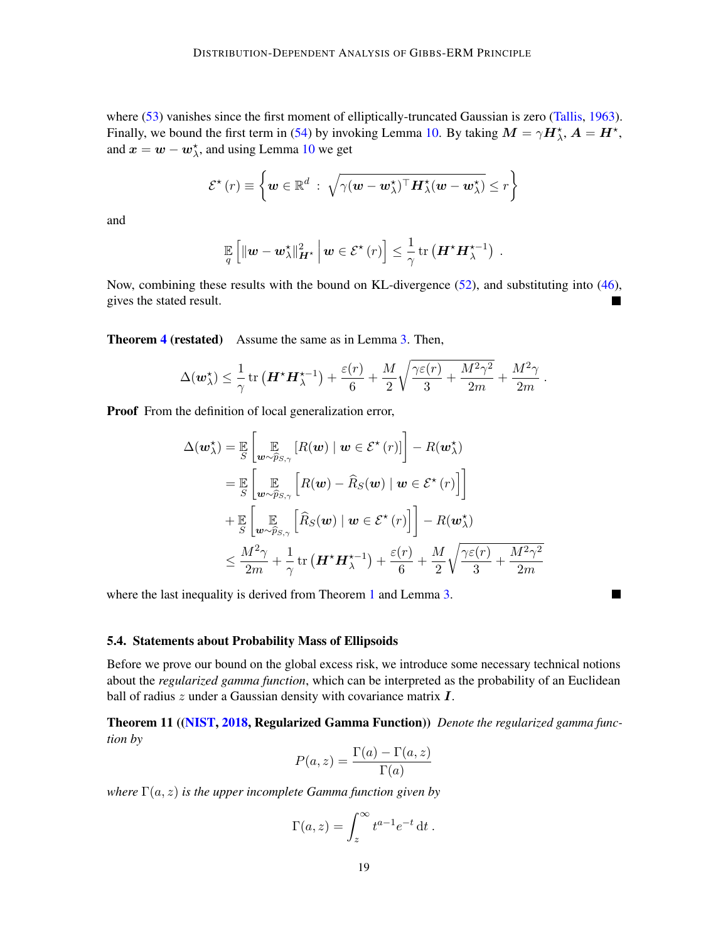where [\(53\)](#page-17-2) vanishes since the first moment of elliptically-truncated Gaussian is zero [\(Tallis,](#page-26-8) [1963\)](#page-26-8). Finally, we bound the first term in [\(54\)](#page-17-3) by invoking Lemma [10.](#page-15-2) By taking  $M = \gamma H_{\lambda}^{\star}$ ,  $A = H^{\star}$ , and  $x = w - w_\lambda^*$ , and using Lemma [10](#page-15-2) we get

$$
\mathcal{E}^{\star}(r) \equiv \left\{ \boldsymbol{w} \in \mathbb{R}^{d} : \sqrt{\gamma(\boldsymbol{w} - \boldsymbol{w}_{\lambda}^{\star})^{\top} \boldsymbol{H}_{\lambda}^{\star}(\boldsymbol{w} - \boldsymbol{w}_{\lambda}^{\star})} \leq r \right\}
$$

and

$$
\mathop{\mathbb{E}}_q\left[\|\bm{w}-\bm{w}_\lambda^\star\|_{\bm{H}^\star}^2\,\Big|\,\bm{w}\in\mathcal{E}^\star\left(r\right)\right]\leq\frac{1}{\gamma}\,\mathrm{tr}\left(\bm{H}^\star\bm{H}_\lambda^{\star-1}\right)\;.
$$

Now, combining these results with the bound on KL-divergence [\(52\)](#page-17-4), and substituting into [\(46\)](#page-16-2), gives the stated result. П

Theorem [4](#page-10-0) (restated) Assume the same as in Lemma [3.](#page-9-1) Then,

$$
\Delta(\boldsymbol{w}_{\lambda}^{\star})\leq\frac{1}{\gamma}\operatorname{tr}\left(\boldsymbol{H}^{\star}\boldsymbol{H}_{\lambda}^{\star-1}\right)+\frac{\varepsilon(r)}{6}+\frac{M}{2}\sqrt{\frac{\gamma\varepsilon(r)}{3}+\frac{M^{2}\gamma^{2}}{2m}}+\frac{M^{2}\gamma}{2m}
$$

.

П

Proof From the definition of local generalization error,

$$
\Delta(\boldsymbol{w}_{\lambda}^{\star}) = \mathbb{E}_{S} \left[ \mathbb{E}_{\boldsymbol{w} \sim \widehat{p}_{S,\gamma}} \left[ R(\boldsymbol{w}) \mid \boldsymbol{w} \in \mathcal{E}^{\star}(r) \right] \right] - R(\boldsymbol{w}_{\lambda}^{\star})
$$
\n
$$
= \mathbb{E}_{S} \left[ \mathbb{E}_{\boldsymbol{w} \sim \widehat{p}_{S,\gamma}} \left[ R(\boldsymbol{w}) - \widehat{R}_{S}(\boldsymbol{w}) \mid \boldsymbol{w} \in \mathcal{E}^{\star}(r) \right] \right]
$$
\n
$$
+ \mathbb{E}_{S} \left[ \mathbb{E}_{\boldsymbol{w} \sim \widehat{p}_{S,\gamma}} \left[ \widehat{R}_{S}(\boldsymbol{w}) \mid \boldsymbol{w} \in \mathcal{E}^{\star}(r) \right] \right] - R(\boldsymbol{w}_{\lambda}^{\star})
$$
\n
$$
\leq \frac{M^{2}\gamma}{2m} + \frac{1}{\gamma} \operatorname{tr} \left( \boldsymbol{H}^{\star} \boldsymbol{H}_{\lambda}^{\star - 1} \right) + \frac{\varepsilon(r)}{6} + \frac{M}{2} \sqrt{\frac{\gamma \varepsilon(r)}{3} + \frac{M^{2}\gamma^{2}}{2m}}
$$

where the last inequality is derived from Theorem [1](#page-7-0) and Lemma [3.](#page-9-1)

# 5.4. Statements about Probability Mass of Ellipsoids

Before we prove our bound on the global excess risk, we introduce some necessary technical notions about the *regularized gamma function*, which can be interpreted as the probability of an Euclidean ball of radius  $z$  under a Gaussian density with covariance matrix  $\boldsymbol{I}$ .

Theorem 11 ([\(NIST,](#page-25-15) [2018,](#page-25-15) Regularized Gamma Function)) *Denote the regularized gamma function by*

$$
P(a, z) = \frac{\Gamma(a) - \Gamma(a, z)}{\Gamma(a)}
$$

*where*  $\Gamma(a, z)$  *is the upper incomplete Gamma function given by* 

$$
\Gamma(a,z) = \int_z^{\infty} t^{a-1} e^{-t} dt.
$$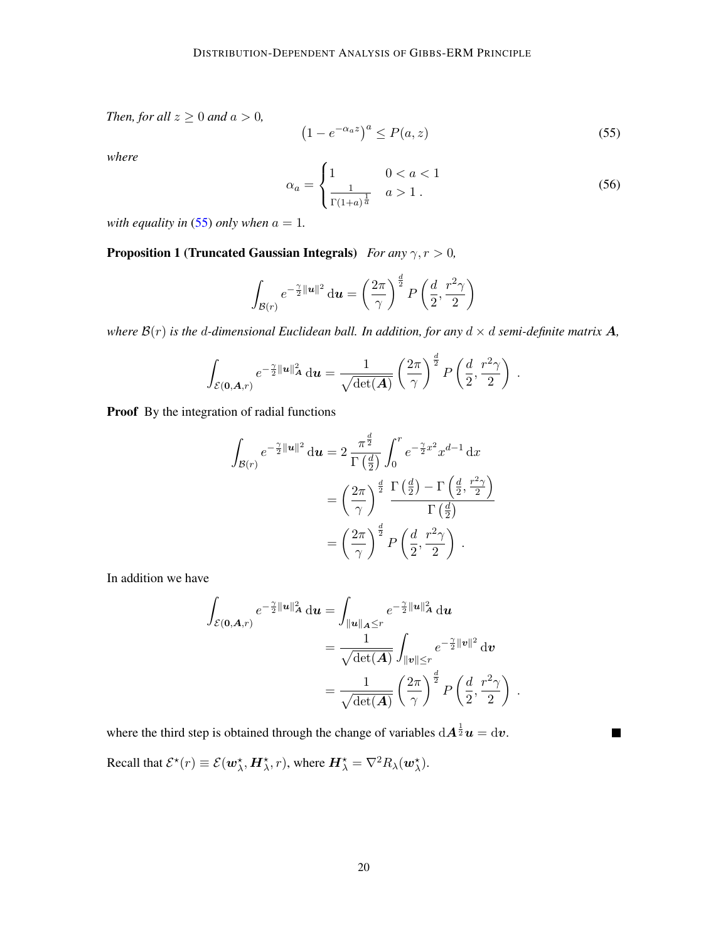*Then, for all*  $z \geq 0$  *and*  $a > 0$ *,* 

<span id="page-19-1"></span>
$$
(1 - e^{-\alpha_a z})^a \le P(a, z) \tag{55}
$$

*where*

<span id="page-19-3"></span>
$$
\alpha_a = \begin{cases} 1 & 0 < a < 1 \\ \frac{1}{\Gamma(1+a)^{\frac{1}{a}}} & a > 1 \end{cases} \tag{56}
$$

*with equality in* [\(55\)](#page-19-1) *only when*  $a = 1$ *.* 

<span id="page-19-2"></span>**Proposition 1 (Truncated Gaussian Integrals)** *For any*  $\gamma, r > 0$ ,

$$
\int_{\mathcal{B}(r)} e^{-\frac{\gamma}{2}||\mathbf{u}||^2} \, \mathrm{d}\mathbf{u} = \left(\frac{2\pi}{\gamma}\right)^{\frac{d}{2}} P\left(\frac{d}{2}, \frac{r^2\gamma}{2}\right)
$$

*where*  $B(r)$  *is the d-dimensional Euclidean ball. In addition, for any*  $d \times d$  *semi-definite matrix*  $A$ *,* 

$$
\int_{\mathcal{E}(\mathbf{0}, \mathbf{A}, r)} e^{-\frac{\gamma}{2} ||\mathbf{u}||^2_{\mathbf{A}}} \, \mathrm{d} \mathbf{u} = \frac{1}{\sqrt{\det(\mathbf{A})}} \left(\frac{2\pi}{\gamma}\right)^{\frac{d}{2}} P\left(\frac{d}{2}, \frac{r^2\gamma}{2}\right) \, .
$$

Proof By the integration of radial functions

$$
\int_{\mathcal{B}(r)} e^{-\frac{\gamma}{2}||u||^2} \, \mathrm{d}u = 2 \, \frac{\pi^{\frac{d}{2}}}{\Gamma\left(\frac{d}{2}\right)} \int_0^r e^{-\frac{\gamma}{2}x^2} x^{d-1} \, \mathrm{d}x
$$
\n
$$
= \left(\frac{2\pi}{\gamma}\right)^{\frac{d}{2}} \frac{\Gamma\left(\frac{d}{2}\right) - \Gamma\left(\frac{d}{2}, \frac{r^2\gamma}{2}\right)}{\Gamma\left(\frac{d}{2}\right)}
$$
\n
$$
= \left(\frac{2\pi}{\gamma}\right)^{\frac{d}{2}} P\left(\frac{d}{2}, \frac{r^2\gamma}{2}\right) \, .
$$

In addition we have

$$
\int_{\mathcal{E}(\mathbf{0}, \mathbf{A}, r)} e^{-\frac{\gamma}{2} ||\mathbf{u}||^2 \mathbf{A} d\mathbf{u}} = \int_{||\mathbf{u}||_{\mathbf{A}} \leq r} e^{-\frac{\gamma}{2} ||\mathbf{u}||^2 \mathbf{A} d\mathbf{u}}
$$
\n
$$
= \frac{1}{\sqrt{\det(\mathbf{A})}} \int_{||\mathbf{v}|| \leq r} e^{-\frac{\gamma}{2} ||\mathbf{v}||^2} d\mathbf{v}
$$
\n
$$
= \frac{1}{\sqrt{\det(\mathbf{A})}} \left(\frac{2\pi}{\gamma}\right)^{\frac{d}{2}} P\left(\frac{d}{2}, \frac{r^2 \gamma}{2}\right) .
$$

<span id="page-19-0"></span> $\blacksquare$ 

where the third step is obtained through the change of variables  $dA^{\frac{1}{2}}u = dv$ .

Recall that  $\mathcal{E}^{\star}(r) \equiv \mathcal{E}(\boldsymbol{w}_{\lambda}^{\star}, \boldsymbol{H}_{\lambda}^{\star}, r)$ , where  $\boldsymbol{H}_{\lambda}^{\star} = \nabla^2 R_{\lambda}(\boldsymbol{w}_{\lambda}^{\star}).$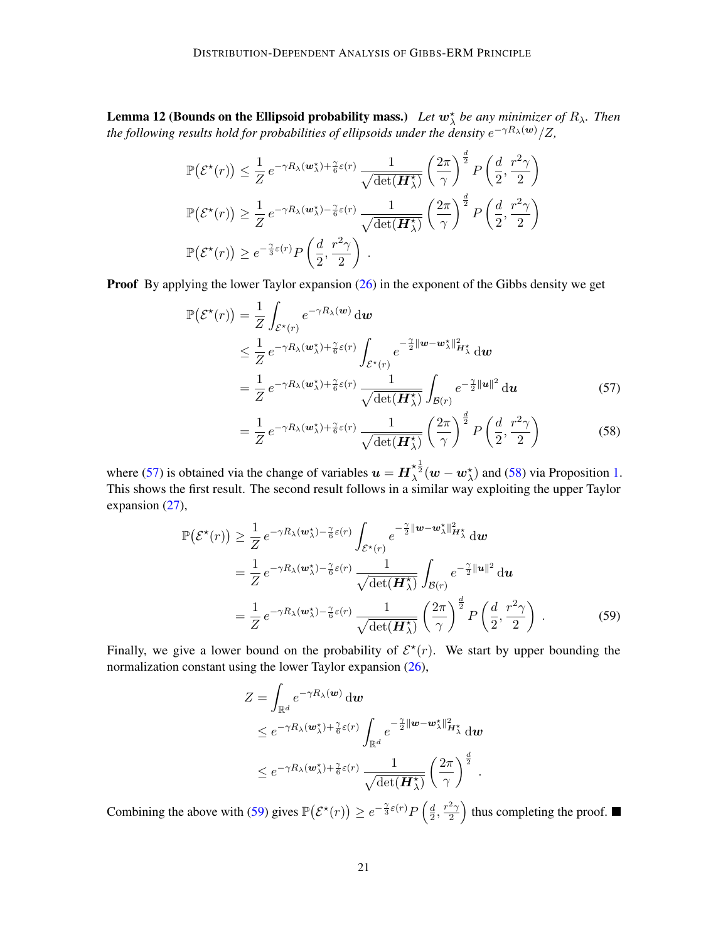**Lemma 12 (Bounds on the Ellipsoid probability mass.)** Let  $w_{\lambda}^{*}$  be any minimizer of  $R_{\lambda}$ . Then the following results hold for probabilities of ellipsoids under the density  $e^{-\gamma R_\lambda(\bm{w})}/Z,$ 

$$
\mathbb{P}(\mathcal{E}^{\star}(r)) \leq \frac{1}{Z} e^{-\gamma R_{\lambda}(\boldsymbol{w}_{\lambda}^{\star}) + \frac{\gamma}{6}\varepsilon(r)} \frac{1}{\sqrt{\det(\boldsymbol{H}_{\lambda}^{\star})}} \left(\frac{2\pi}{\gamma}\right)^{\frac{d}{2}} P\left(\frac{d}{2}, \frac{r^2\gamma}{2}\right)
$$

$$
\mathbb{P}(\mathcal{E}^{\star}(r)) \geq \frac{1}{Z} e^{-\gamma R_{\lambda}(\boldsymbol{w}_{\lambda}^{\star}) - \frac{\gamma}{6}\varepsilon(r)} \frac{1}{\sqrt{\det(\boldsymbol{H}_{\lambda}^{\star})}} \left(\frac{2\pi}{\gamma}\right)^{\frac{d}{2}} P\left(\frac{d}{2}, \frac{r^2\gamma}{2}\right)
$$

$$
\mathbb{P}(\mathcal{E}^{\star}(r)) \geq e^{-\frac{\gamma}{3}\varepsilon(r)} P\left(\frac{d}{2}, \frac{r^2\gamma}{2}\right).
$$

**Proof** By applying the lower Taylor expansion [\(26\)](#page-12-3) in the exponent of the Gibbs density we get

$$
\mathbb{P}(\mathcal{E}^{\star}(r)) = \frac{1}{Z} \int_{\mathcal{E}^{\star}(r)} e^{-\gamma R_{\lambda}(w)} \, \mathrm{d}w
$$
\n
$$
\leq \frac{1}{Z} e^{-\gamma R_{\lambda}(w_{\lambda}^{\star}) + \frac{\gamma}{6}\varepsilon(r)} \int_{\mathcal{E}^{\star}(r)} e^{-\frac{\gamma}{2} ||w - w_{\lambda}^{\star}||_{H_{\lambda}^{\star}}^{2}} \, \mathrm{d}w
$$
\n
$$
= \frac{1}{Z} e^{-\gamma R_{\lambda}(w_{\lambda}^{\star}) + \frac{\gamma}{6}\varepsilon(r)} \frac{1}{\sqrt{\det(\boldsymbol{H}_{\lambda}^{\star})}} \int_{\mathcal{B}(r)} e^{-\frac{\gamma}{2} ||u||^{2}} \, \mathrm{d}u \tag{57}
$$

<span id="page-20-1"></span><span id="page-20-0"></span>
$$
= \frac{1}{Z} e^{-\gamma R_{\lambda}(\boldsymbol{w}_{\lambda}^{*}) + \frac{\gamma}{6}\varepsilon(r)} \frac{1}{\sqrt{\det(\boldsymbol{H}_{\lambda}^{*})}} \left(\frac{2\pi}{\gamma}\right)^{\frac{d}{2}} P\left(\frac{d}{2}, \frac{r^{2}\gamma}{2}\right)
$$
(58)

where [\(57\)](#page-20-0) is obtained via the change of variables  $u = H_{\lambda}^{* \frac{1}{2}}(w - w_{\lambda}^{*})$  and [\(58\)](#page-20-1) via Proposition [1.](#page-19-2) This shows the first result. The second result follows in a similar way exploiting the upper Taylor expansion [\(27\)](#page-12-4),

$$
\mathbb{P}(\mathcal{E}^{\star}(r)) \geq \frac{1}{Z} e^{-\gamma R_{\lambda}(\boldsymbol{w}_{\lambda}^{\star}) - \frac{\gamma}{6}\varepsilon(r)} \int_{\mathcal{E}^{\star}(r)} e^{-\frac{\gamma}{2} ||\boldsymbol{w} - \boldsymbol{w}_{\lambda}^{\star}||_{\boldsymbol{H}_{\lambda}^{\star}}} d\boldsymbol{w}
$$
\n
$$
= \frac{1}{Z} e^{-\gamma R_{\lambda}(\boldsymbol{w}_{\lambda}^{\star}) - \frac{\gamma}{6}\varepsilon(r)} \frac{1}{\sqrt{\det(\boldsymbol{H}_{\lambda}^{\star})}} \int_{\mathcal{B}(r)} e^{-\frac{\gamma}{2} ||\boldsymbol{u}||^{2}} d\boldsymbol{u}
$$
\n
$$
= \frac{1}{Z} e^{-\gamma R_{\lambda}(\boldsymbol{w}_{\lambda}^{\star}) - \frac{\gamma}{6}\varepsilon(r)} \frac{1}{\sqrt{\det(\boldsymbol{H}_{\lambda}^{\star})}} \left(\frac{2\pi}{\gamma}\right)^{\frac{d}{2}} P\left(\frac{d}{2}, \frac{r^{2}\gamma}{2}\right) . \tag{59}
$$

Finally, we give a lower bound on the probability of  $\mathcal{E}^*(r)$ . We start by upper bounding the normalization constant using the lower Taylor expansion [\(26\)](#page-12-3),

<span id="page-20-2"></span>
$$
Z = \int_{\mathbb{R}^d} e^{-\gamma R_\lambda(\boldsymbol{w})} \, \mathrm{d}\boldsymbol{w}
$$
  
\n
$$
\leq e^{-\gamma R_\lambda(\boldsymbol{w}_\lambda^{\star}) + \frac{\gamma}{6}\varepsilon(r)} \int_{\mathbb{R}^d} e^{-\frac{\gamma}{2} \|\boldsymbol{w} - \boldsymbol{w}_\lambda^{\star}\|_{\boldsymbol{H}_\lambda^{\star}}^2} \, \mathrm{d}\boldsymbol{w}
$$
  
\n
$$
\leq e^{-\gamma R_\lambda(\boldsymbol{w}_\lambda^{\star}) + \frac{\gamma}{6}\varepsilon(r)} \frac{1}{\sqrt{\det(\boldsymbol{H}_\lambda^{\star})}} \left(\frac{2\pi}{\gamma}\right)^{\frac{d}{2}}.
$$

Combining the above with [\(59\)](#page-20-2) gives  $\mathbb{P}(\mathcal{E}^*(r)) \geq e^{-\frac{\gamma}{3}\varepsilon(r)}P\left(\frac{d}{2}\right)$  $\frac{d}{2}, \frac{r^2\gamma}{2}$  $\left(\frac{2\gamma}{2}\right)$  thus completing the proof.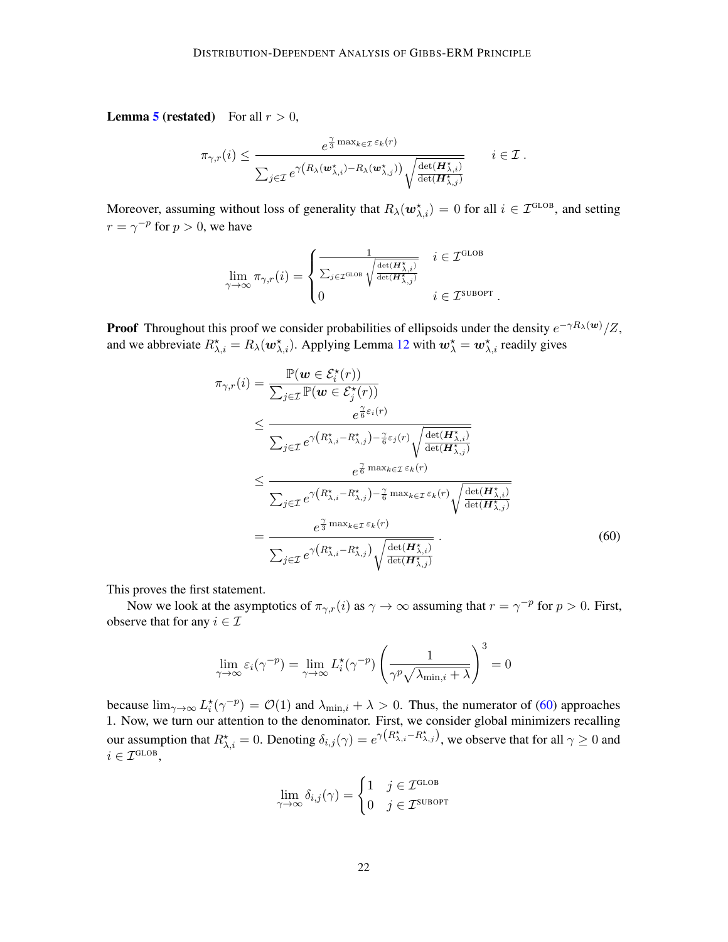**Lemma [5](#page-10-2) (restated)** For all  $r > 0$ ,

$$
\pi_{\gamma,r}(i) \leq \frac{e^{\frac{\gamma}{3}\max_{k\in\mathcal{I}}\varepsilon_k(r)}}{\sum_{j\in\mathcal{I}}e^{\gamma\left(R_{\lambda}(\boldsymbol{w}_{\lambda,i}^\star)-R_{\lambda}(\boldsymbol{w}_{\lambda,j}^\star)\right)}\sqrt{\frac{\det(\boldsymbol{H}_{\lambda,i}^\star)}{\det(\boldsymbol{H}_{\lambda,j}^\star)}}} \qquad i\in\mathcal{I}.
$$

Moreover, assuming without loss of generality that  $R_\lambda(\bm{w}_{\lambda,i}^{\star}) = 0$  for all  $i \in \mathcal{I}^{\text{GLOB}}$ , and setting  $r = \gamma^{-p}$  for  $p > 0$ , we have

$$
\lim_{\gamma \to \infty} \pi_{\gamma, r}(i) = \begin{cases} \frac{1}{\sum_{j \in \mathcal{I}^{\text{GLOB}}} \sqrt{\frac{\det(H^\star_{\lambda, i})}{\det(H^\star_{\lambda, j})}}} & i \in \mathcal{I}^{\text{GLOB}} \\ 0 & i \in \mathcal{I}^{\text{SUBOPT}} \end{cases}
$$

**Proof** Throughout this proof we consider probabilities of ellipsoids under the density  $e^{-\gamma R_\lambda(w)}/Z$ , and we abbreviate  $R^{\star}_{\lambda,i} = R_{\lambda}(\omega^{\star}_{\lambda,i})$ . Applying Lemma [12](#page-19-0) with  $\omega^{\star}_{\lambda} = \omega^{\star}_{\lambda,i}$  readily gives

$$
\pi_{\gamma,r}(i) = \frac{\mathbb{P}(\boldsymbol{w} \in \mathcal{E}_{i}^{\star}(r))}{\sum_{j \in \mathcal{I}} \mathbb{P}(\boldsymbol{w} \in \mathcal{E}_{j}^{\star}(r))} \leq \frac{e^{\frac{\gamma}{6}\varepsilon_{i}(r)}}{\sum_{j \in \mathcal{I}} e^{\gamma\left(R_{\lambda,i}^{*} - R_{\lambda,j}^{*}\right) - \frac{\gamma}{6}\varepsilon_{j}(r)} \sqrt{\frac{\det(H_{\lambda,i}^{*})}{\det(H_{\lambda,j}^{*})}}}
$$
\n
$$
\leq \frac{e^{\frac{\gamma}{6}\max_{k \in \mathcal{I}} \varepsilon_{k}(r)}}{\sum_{j \in \mathcal{I}} e^{\gamma\left(R_{\lambda,i}^{*} - R_{\lambda,j}^{*}\right) - \frac{\gamma}{6}\max_{k \in \mathcal{I}} \varepsilon_{k}(r)} \sqrt{\frac{\det(H_{\lambda,i}^{*})}{\det(H_{\lambda,j}^{*})}}}
$$
\n
$$
= \frac{e^{\frac{\gamma}{3}\max_{k \in \mathcal{I}} \varepsilon_{k}(r)}}{\sum_{j \in \mathcal{I}} e^{\gamma\left(R_{\lambda,i}^{*} - R_{\lambda,j}^{*}\right)} \sqrt{\frac{\det(H_{\lambda,i}^{*})}{\det(H_{\lambda,j}^{*})}}}.
$$
\n(60)

<span id="page-21-0"></span>.

This proves the first statement.

Now we look at the asymptotics of  $\pi_{\gamma,r}(i)$  as  $\gamma \to \infty$  assuming that  $r = \gamma^{-p}$  for  $p > 0$ . First, observe that for any  $i \in \mathcal{I}$ 

$$
\lim_{\gamma \to \infty} \varepsilon_i(\gamma^{-p}) = \lim_{\gamma \to \infty} L_i^{\star}(\gamma^{-p}) \left( \frac{1}{\gamma^p \sqrt{\lambda_{\min,i} + \lambda}} \right)^3 = 0
$$

because  $\lim_{\gamma\to\infty} L_i^*(\gamma^{-p}) = \mathcal{O}(1)$  and  $\lambda_{\min,i} + \lambda > 0$ . Thus, the numerator of [\(60\)](#page-21-0) approaches 1. Now, we turn our attention to the denominator. First, we consider global minimizers recalling our assumption that  $R^{\star}_{\lambda,i} = 0$ . Denoting  $\delta_{i,j}(\gamma) = e^{\gamma(R^{\star}_{\lambda,i} - R^{\star}_{\lambda,j})}$ , we observe that for all  $\gamma \ge 0$  and  $i \in \mathcal{I}^{\text{GLOB}},$ 

$$
\lim_{\gamma \to \infty} \delta_{i,j}(\gamma) = \begin{cases} 1 & j \in \mathcal{I}^{\text{GLOB}} \\ 0 & j \in \mathcal{I}^{\text{SUBOPT}} \end{cases}
$$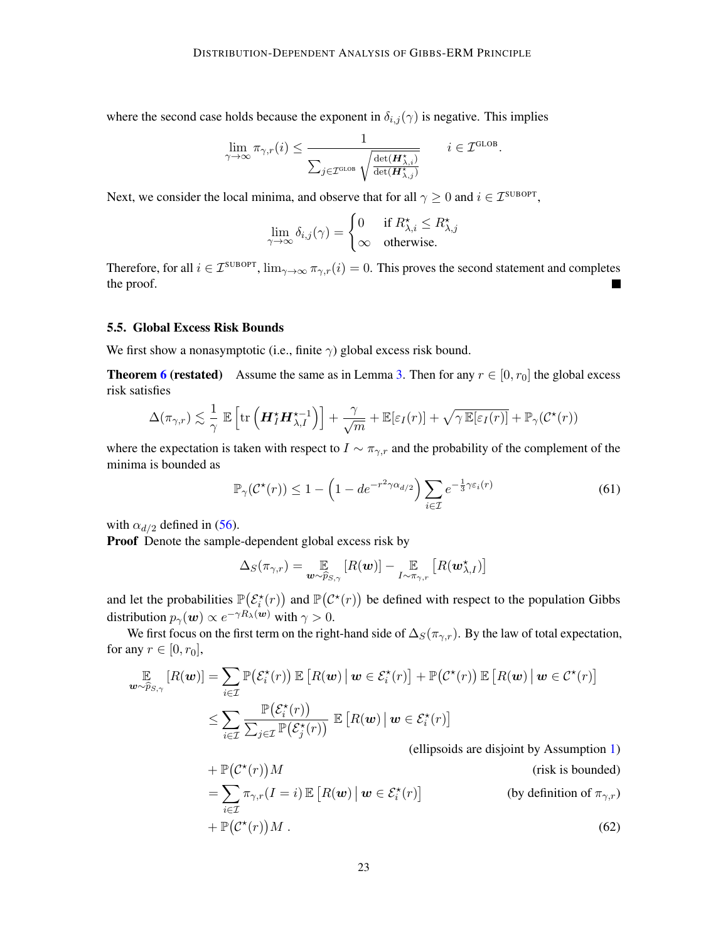where the second case holds because the exponent in  $\delta_{i,j}(\gamma)$  is negative. This implies

$$
\lim_{\gamma \to \infty} \pi_{\gamma, r}(i) \leq \frac{1}{\sum_{j \in \mathcal{I}^{\text{GLOB}}} \sqrt{\frac{\det(\boldsymbol{H}_{\lambda, i}^{\star})}{\det(\boldsymbol{H}_{\lambda, j}^{\star})}}} \qquad i \in \mathcal{I}^{\text{GLOB}}.
$$

Next, we consider the local minima, and observe that for all  $\gamma \geq 0$  and  $i \in \mathcal{I}^{\text{SUBOPT}}$ ,

$$
\lim_{\gamma \to \infty} \delta_{i,j}(\gamma) = \begin{cases} 0 & \text{if } R_{\lambda,i}^{\star} \leq R_{\lambda,j}^{\star} \\ \infty & \text{otherwise.} \end{cases}
$$

Therefore, for all  $i \in \mathcal{I}^{\text{SUBOPT}}, \lim_{\gamma \to \infty} \pi_{\gamma,r}(i) = 0$ . This proves the second statement and completes the proof.

# 5.5. Global Excess Risk Bounds

We first show a nonasymptotic (i.e., finite  $\gamma$ ) global excess risk bound.

**Theorem [6](#page-11-2) (restated)** Assume the same as in Lemma [3.](#page-9-1) Then for any  $r \in [0, r_0]$  the global excess risk satisfies

$$
\Delta(\pi_{\gamma,r}) \lesssim \frac{1}{\gamma} \mathbb{E}\left[\text{tr}\left(\boldsymbol{H}_{I}^{\star}\boldsymbol{H}_{\lambda,I}^{\star-1}\right)\right] + \frac{\gamma}{\sqrt{m}} + \mathbb{E}[\varepsilon_{I}(r)] + \sqrt{\gamma \mathbb{E}[\varepsilon_{I}(r)]} + \mathbb{P}_{\gamma}(\mathcal{C}^{\star}(r))
$$

where the expectation is taken with respect to  $I \sim \pi_{\gamma,r}$  and the probability of the complement of the minima is bounded as

$$
\mathbb{P}_{\gamma}(\mathcal{C}^{\star}(r)) \le 1 - \left(1 - de^{-r^2 \gamma \alpha_{d/2}}\right) \sum_{i \in \mathcal{I}} e^{-\frac{1}{3} \gamma \varepsilon_i(r)} \tag{61}
$$

with  $\alpha_{d/2}$  defined in [\(56\)](#page-19-3).

Proof Denote the sample-dependent global excess risk by

$$
\Delta_S(\pi_{\gamma,r}) = \mathop{\mathbb{E}}_{\boldsymbol{w}\sim\widehat{p}_{S,\gamma}}[R(\boldsymbol{w})] - \mathop{\mathbb{E}}_{I\sim\pi_{\gamma,r}}[R(\boldsymbol{w}_{\lambda,I}^\star)]
$$

and let the probabilities  $\mathbb{P}(\mathcal{E}_i^*(r))$  and  $\mathbb{P}(\mathcal{C}^*(r))$  be defined with respect to the population Gibbs distribution  $p_{\gamma}(\boldsymbol{w}) \propto e^{-\gamma R_{\lambda}(\boldsymbol{w})}$  with  $\gamma > 0$ .

We first focus on the first term on the right-hand side of  $\Delta_S(\pi_{\gamma,r})$ . By the law of total expectation, for any  $r \in [0, r_0]$ ,

$$
\mathbb{E}_{\mathbf{w}\sim\widehat{p}_{S,\gamma}}[R(\mathbf{w})] = \sum_{i\in\mathcal{I}} \mathbb{P}\big(\mathcal{E}_i^{\star}(r)\big) \mathbb{E}\left[R(\mathbf{w}) \,\middle|\, \mathbf{w}\in\mathcal{E}_i^{\star}(r)\right] + \mathbb{P}\big(\mathcal{C}^{\star}(r)\big) \mathbb{E}\left[R(\mathbf{w}) \,\middle|\, \mathbf{w}\in\mathcal{C}^{\star}(r)\right]
$$
\n
$$
\leq \sum_{i\in\mathcal{I}} \frac{\mathbb{P}\big(\mathcal{E}_i^{\star}(r)\big)}{\sum_{j\in\mathcal{I}} \mathbb{P}\big(\mathcal{E}_j^{\star}(r)\big)} \mathbb{E}\left[R(\mathbf{w}) \,\middle|\, \mathbf{w}\in\mathcal{E}_i^{\star}(r)\right]
$$
\n(ellipsids are disjoint by  $\Lambda$  symmetric)

<span id="page-22-0"></span>(ellipsoids are disjoint by Assumption [1\)](#page-10-3)

+ 
$$
\mathbb{P}(\mathcal{C}^*(r))M
$$
 (risk is bounded)  
\n=  $\sum_{i \in \mathcal{I}} \pi_{\gamma,r}(I = i) \mathbb{E} [R(\boldsymbol{w}) | \boldsymbol{w} \in \mathcal{E}_i^*(r)]$  (by definition of  $\pi_{\gamma,r}$ )

$$
+\,\mathbb{P}\big(\mathcal{C}^{\star}(r)\big)M\,.
$$
\n<sup>(62)</sup>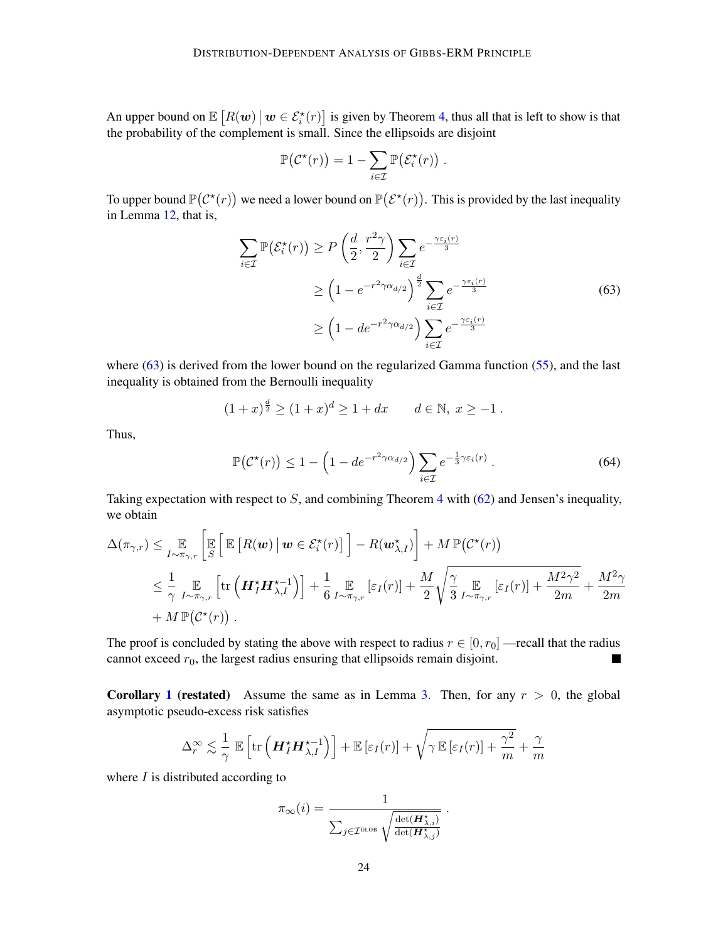An upper bound on  $\mathbb{E}[R(\boldsymbol{w}) \mid \boldsymbol{w} \in \mathcal{E}_i^*(r)]$  is given by Theorem [4,](#page-10-0) thus all that is left to show is that the probability of the complement is small. Since the ellipsoids are disjoint

<span id="page-23-0"></span>
$$
\mathbb{P}(\mathcal{C}^{\star}(r)) = 1 - \sum_{i \in \mathcal{I}} \mathbb{P}(\mathcal{E}^{\star}_i(r)) .
$$

To upper bound  $\mathbb{P}(\mathcal{C}^*(r))$  we need a lower bound on  $\mathbb{P}(\mathcal{E}^*(r))$ . This is provided by the last inequality in Lemma [12,](#page-19-0) that is,

$$
\sum_{i \in \mathcal{I}} \mathbb{P}(\mathcal{E}_i^*(r)) \ge P\left(\frac{d}{2}, \frac{r^2\gamma}{2}\right) \sum_{i \in \mathcal{I}} e^{-\frac{\gamma \varepsilon_i(r)}{3}}
$$
\n
$$
\ge \left(1 - e^{-r^2\gamma \alpha_{d/2}}\right)^{\frac{d}{2}} \sum_{i \in \mathcal{I}} e^{-\frac{\gamma \varepsilon_i(r)}{3}}
$$
\n
$$
\ge \left(1 - de^{-r^2\gamma \alpha_{d/2}}\right) \sum_{i \in \mathcal{I}} e^{-\frac{\gamma \varepsilon_i(r)}{3}}
$$
\n(63)

where  $(63)$  is derived from the lower bound on the regularized Gamma function  $(55)$ , and the last inequality is obtained from the Bernoulli inequality

$$
(1+x)^{\frac{d}{2}} \ge (1+x)^d \ge 1 + dx \qquad d \in \mathbb{N}, \ x \ge -1.
$$

Thus,

$$
\mathbb{P}\big(\mathcal{C}^{\star}(r)\big) \le 1 - \left(1 - de^{-r^2 \gamma \alpha_{d/2}}\right) \sum_{i \in \mathcal{I}} e^{-\frac{1}{3} \gamma \varepsilon_i(r)} . \tag{64}
$$

Taking expectation with respect to S, and combining Theorem [4](#page-10-0) with  $(62)$  and Jensen's inequality, we obtain

$$
\Delta(\pi_{\gamma,r}) \leq \mathop{\mathbb{E}}\limits_{I \sim \pi_{\gamma,r}} \left[ \mathop{\mathbb{E}}\limits_{S} \left[ \mathop{\mathbb{E}}\left[ R(\boldsymbol{w}) \, \middle| \, \boldsymbol{w} \in \mathcal{E}_i^\star(r) \right] \right] - R(\boldsymbol{w}_{\lambda,I}^\star) \right] + M \, \mathbb{P}(\mathcal{C}^\star(r)) \n\leq \frac{1}{\gamma} \mathop{\mathbb{E}}\limits_{I \sim \pi_{\gamma,r}} \left[ \text{tr} \left( \boldsymbol{H}_I^\star \boldsymbol{H}_{\lambda,I}^{\star-1} \right) \right] + \frac{1}{6} \mathop{\mathbb{E}}\limits_{I \sim \pi_{\gamma,r}} \left[ \varepsilon_I(r) \right] + \frac{M}{2} \sqrt{\frac{\gamma}{3}} \mathop{\mathbb{E}}\limits_{I \sim \pi_{\gamma,r}} \left[ \varepsilon_I(r) \right] + \frac{M^2 \gamma^2}{2m} + \frac{M^2 \gamma}{2m} \n+ M \, \mathbb{P}(\mathcal{C}^\star(r)) .
$$

The proof is concluded by stating the above with respect to radius  $r \in [0, r_0]$  —recall that the radius cannot exceed  $r_0$ , the largest radius ensuring that ellipsoids remain disjoint.  $\blacksquare$ 

**Corollary [1](#page-11-1) (restated)** Assume the same as in Lemma [3.](#page-9-1) Then, for any  $r > 0$ , the global asymptotic pseudo-excess risk satisfies

$$
\Delta_r^{\infty} \lesssim \frac{1}{\gamma} \mathbb{E} \left[ \text{tr} \left( \boldsymbol{H}_I^{\star} \boldsymbol{H}_{\lambda,I}^{\star-1} \right) \right] + \mathbb{E} \left[ \varepsilon_I(r) \right] + \sqrt{\gamma \mathbb{E} \left[ \varepsilon_I(r) \right] + \frac{\gamma^2}{m}} + \frac{\gamma}{m}
$$

where  $I$  is distributed according to

$$
\pi_{\infty}(i) = \frac{1}{\sum_{j \in \mathcal{I}^{\text{GLOB}}}\sqrt{\frac{\det(\boldsymbol{H}^{\star}_{\lambda, i})}{\det(\boldsymbol{H}^{\star}_{\lambda, j})}}} \ .
$$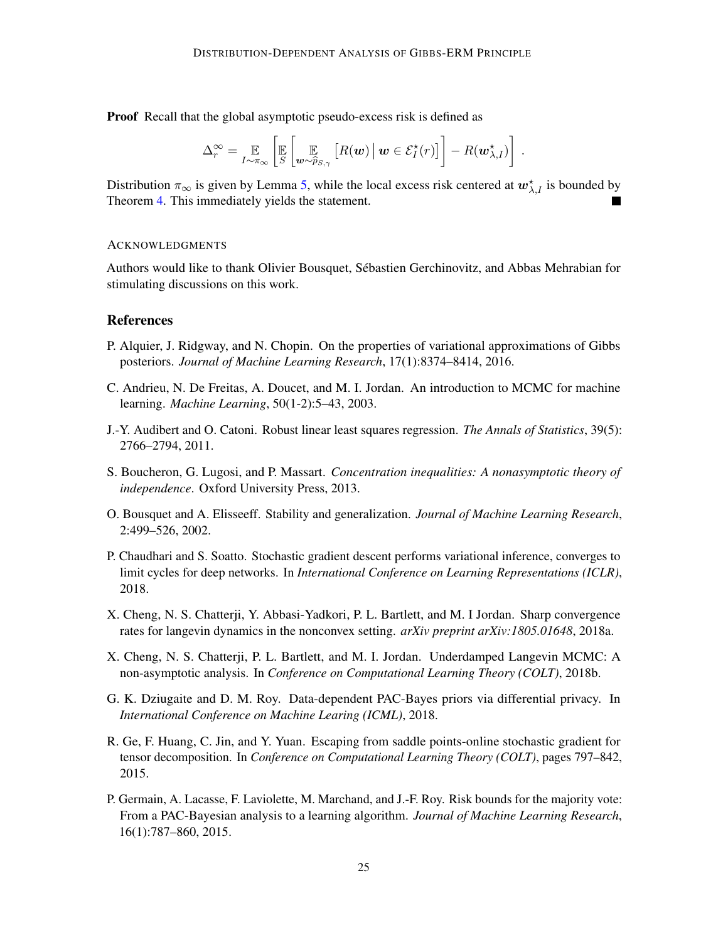Proof Recall that the global asymptotic pseudo-excess risk is defined as

$$
\Delta_r^{\infty} = \mathop{\mathbb{E}}_{I \sim \pi_{\infty}} \left[ \mathop{\mathbb{E}}_{S} \left[ \mathop{\mathbb{E}}_{\boldsymbol{w} \sim \widehat{p}_{S,\gamma}} \left[ R(\boldsymbol{w}) \, \big| \, \boldsymbol{w} \in \mathcal{E}_I^{\star}(r) \right] \right] - R(\boldsymbol{w}_{\lambda,I}^{\star}) \right] \, .
$$

Distribution  $\pi_{\infty}$  is given by Lemma [5,](#page-10-2) while the local excess risk centered at  $w_{\lambda,I}^*$  is bounded by Theorem [4.](#page-10-0) This immediately yields the statement.

### **ACKNOWLEDGMENTS**

Authors would like to thank Olivier Bousquet, Sébastien Gerchinovitz, and Abbas Mehrabian for stimulating discussions on this work.

# **References**

- <span id="page-24-6"></span>P. Alquier, J. Ridgway, and N. Chopin. On the properties of variational approximations of Gibbs posteriors. *Journal of Machine Learning Research*, 17(1):8374–8414, 2016.
- <span id="page-24-1"></span>C. Andrieu, N. De Freitas, A. Doucet, and M. I. Jordan. An introduction to MCMC for machine learning. *Machine Learning*, 50(1-2):5–43, 2003.
- <span id="page-24-4"></span>J.-Y. Audibert and O. Catoni. Robust linear least squares regression. *The Annals of Statistics*, 39(5): 2766–2794, 2011.
- <span id="page-24-10"></span>S. Boucheron, G. Lugosi, and P. Massart. *Concentration inequalities: A nonasymptotic theory of independence*. Oxford University Press, 2013.
- <span id="page-24-9"></span>O. Bousquet and A. Elisseeff. Stability and generalization. *Journal of Machine Learning Research*, 2:499–526, 2002.
- <span id="page-24-8"></span>P. Chaudhari and S. Soatto. Stochastic gradient descent performs variational inference, converges to limit cycles for deep networks. In *International Conference on Learning Representations (ICLR)*, 2018.
- <span id="page-24-3"></span>X. Cheng, N. S. Chatterji, Y. Abbasi-Yadkori, P. L. Bartlett, and M. I Jordan. Sharp convergence rates for langevin dynamics in the nonconvex setting. *arXiv preprint arXiv:1805.01648*, 2018a.
- <span id="page-24-2"></span>X. Cheng, N. S. Chatterji, P. L. Bartlett, and M. I. Jordan. Underdamped Langevin MCMC: A non-asymptotic analysis. In *Conference on Computational Learning Theory (COLT)*, 2018b.
- <span id="page-24-7"></span>G. K. Dziugaite and D. M. Roy. Data-dependent PAC-Bayes priors via differential privacy. In *International Conference on Machine Learing (ICML)*, 2018.
- <span id="page-24-0"></span>R. Ge, F. Huang, C. Jin, and Y. Yuan. Escaping from saddle points-online stochastic gradient for tensor decomposition. In *Conference on Computational Learning Theory (COLT)*, pages 797–842, 2015.
- <span id="page-24-5"></span>P. Germain, A. Lacasse, F. Laviolette, M. Marchand, and J.-F. Roy. Risk bounds for the majority vote: From a PAC-Bayesian analysis to a learning algorithm. *Journal of Machine Learning Research*, 16(1):787–860, 2015.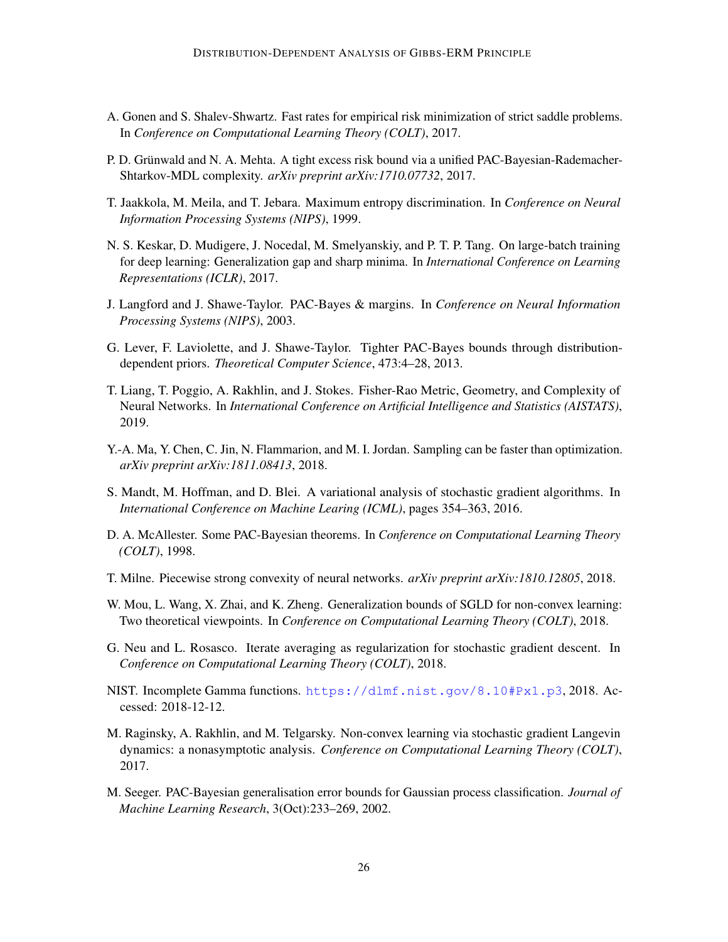- <span id="page-25-5"></span>A. Gonen and S. Shalev-Shwartz. Fast rates for empirical risk minimization of strict saddle problems. In *Conference on Computational Learning Theory (COLT)*, 2017.
- <span id="page-25-9"></span>P. D. Grünwald and N. A. Mehta. A tight excess risk bound via a unified PAC-Bayesian-Rademacher-Shtarkov-MDL complexity. *arXiv preprint arXiv:1710.07732*, 2017.
- <span id="page-25-3"></span>T. Jaakkola, M. Meila, and T. Jebara. Maximum entropy discrimination. In *Conference on Neural Information Processing Systems (NIPS)*, 1999.
- <span id="page-25-12"></span>N. S. Keskar, D. Mudigere, J. Nocedal, M. Smelyanskiy, and P. T. P. Tang. On large-batch training for deep learning: Generalization gap and sharp minima. In *International Conference on Learning Representations (ICLR)*, 2017.
- <span id="page-25-8"></span>J. Langford and J. Shawe-Taylor. PAC-Bayes & margins. In *Conference on Neural Information Processing Systems (NIPS)*, 2003.
- <span id="page-25-10"></span>G. Lever, F. Laviolette, and J. Shawe-Taylor. Tighter PAC-Bayes bounds through distributiondependent priors. *Theoretical Computer Science*, 473:4–28, 2013.
- <span id="page-25-13"></span>T. Liang, T. Poggio, A. Rakhlin, and J. Stokes. Fisher-Rao Metric, Geometry, and Complexity of Neural Networks. In *International Conference on Artificial Intelligence and Statistics (AISTATS)*, 2019.
- <span id="page-25-4"></span>Y.-A. Ma, Y. Chen, C. Jin, N. Flammarion, and M. I. Jordan. Sampling can be faster than optimization. *arXiv preprint arXiv:1811.08413*, 2018.
- <span id="page-25-11"></span>S. Mandt, M. Hoffman, and D. Blei. A variational analysis of stochastic gradient algorithms. In *International Conference on Machine Learing (ICML)*, pages 354–363, 2016.
- <span id="page-25-1"></span>D. A. McAllester. Some PAC-Bayesian theorems. In *Conference on Computational Learning Theory (COLT)*, 1998.
- <span id="page-25-6"></span>T. Milne. Piecewise strong convexity of neural networks. *arXiv preprint arXiv:1810.12805*, 2018.
- <span id="page-25-14"></span>W. Mou, L. Wang, X. Zhai, and K. Zheng. Generalization bounds of SGLD for non-convex learning: Two theoretical viewpoints. In *Conference on Computational Learning Theory (COLT)*, 2018.
- <span id="page-25-7"></span>G. Neu and L. Rosasco. Iterate averaging as regularization for stochastic gradient descent. In *Conference on Computational Learning Theory (COLT)*, 2018.
- <span id="page-25-15"></span>NIST. Incomplete Gamma functions. <https://dlmf.nist.gov/8.10#Px1.p3>, 2018. Accessed: 2018-12-12.
- <span id="page-25-0"></span>M. Raginsky, A. Rakhlin, and M. Telgarsky. Non-convex learning via stochastic gradient Langevin dynamics: a nonasymptotic analysis. *Conference on Computational Learning Theory (COLT)*, 2017.
- <span id="page-25-2"></span>M. Seeger. PAC-Bayesian generalisation error bounds for Gaussian process classification. *Journal of Machine Learning Research*, 3(Oct):233–269, 2002.